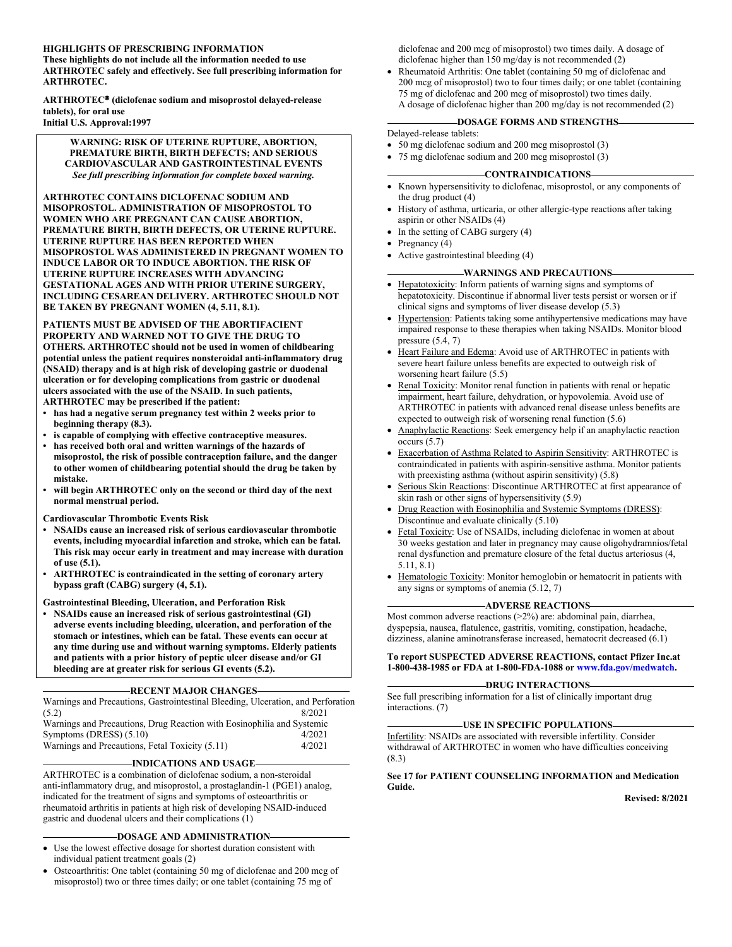#### **HIGHLIGHTS OF PRESCRIBING INFORMATION**

**These highlights do not include all the information needed to use ARTHROTEC safely and effectively. See full prescribing information for ARTHROTEC.**

**ARTHROTEC (diclofenac sodium and misoprostol delayed-release tablets), for oral use Initial U.S. Approval:1997**

**WARNING: RISK OF UTERINE RUPTURE, ABORTION, PREMATURE BIRTH, BIRTH DEFECTS; AND SERIOUS CARDIOVASCULAR AND GASTROINTESTINAL EVENTS** *See full prescribing information for complete boxed warning.*

**ARTHROTEC CONTAINS DICLOFENAC SODIUM AND MISOPROSTOL. ADMINISTRATION OF MISOPROSTOL TO WOMEN WHO ARE PREGNANT CAN CAUSE ABORTION, PREMATURE BIRTH, BIRTH DEFECTS, OR UTERINE RUPTURE. UTERINE RUPTURE HAS BEEN REPORTED WHEN MISOPROSTOL WAS ADMINISTERED IN PREGNANT WOMEN TO INDUCE LABOR OR TO INDUCE ABORTION. THE RISK OF UTERINE RUPTURE INCREASES WITH ADVANCING GESTATIONAL AGES AND WITH PRIOR UTERINE SURGERY, INCLUDING CESAREAN DELIVERY. ARTHROTEC SHOULD NOT BE TAKEN BY PREGNANT WOMEN (4, 5.11, 8.1).**

**PATIENTS MUST BE ADVISED OF THE ABORTIFACIENT PROPERTY AND WARNED NOT TO GIVE THE DRUG TO OTHERS. ARTHROTEC should not be used in women of childbearing potential unless the patient requires nonsteroidal anti-inflammatory drug (NSAID) therapy and is at high risk of developing gastric or duodenal ulceration or for developing complications from gastric or duodenal ulcers associated with the use of the NSAID. In such patients, ARTHROTEC may be prescribed if the patient:**

- **• has had a negative serum pregnancy test within 2 weeks prior to beginning therapy (8.3).**
- **• is capable of complying with effective contraceptive measures.**
- **• has received both oral and written warnings of the hazards of misoprostol, the risk of possible contraception failure, and the danger to other women of childbearing potential should the drug be taken by mistake.**
- **• will begin ARTHROTEC only on the second or third day of the next normal menstrual period.**
- **Cardiovascular Thrombotic Events Risk**
- **• NSAIDs cause an increased risk of serious cardiovascular thrombotic events, including myocardial infarction and stroke, which can be fatal. This risk may occur early in treatment and may increase with duration of use (5.1).**
- **• ARTHROTEC is contraindicated in the setting of coronary artery bypass graft (CABG) surgery (4, 5.1).**

**Gastrointestinal Bleeding, Ulceration, and Perforation Risk**

**• NSAIDs cause an increased risk of serious gastrointestinal (GI) adverse events including bleeding, ulceration, and perforation of the stomach or intestines, which can be fatal. These events can occur at any time during use and without warning symptoms. Elderly patients and patients with a prior history of peptic ulcer disease and/or GI bleeding are at greater risk for serious GI events (5.2).**

#### **RECENT MAJOR CHANGES**

Warnings and Precautions, Gastrointestinal Bleeding, Ulceration, and Perforation  $(5.2)$  8/2021

| Warnings and Precautions, Drug Reaction with Eosinophilia and Systemic |        |
|------------------------------------------------------------------------|--------|
| Symptoms $(DRESS)$ $(5.10)$                                            | 4/2021 |
| Warnings and Precautions, Fetal Toxicity (5.11)                        | 4/2021 |

#### **INDICATIONS AND USAGE**

ARTHROTEC is a combination of diclofenac sodium, a non-steroidal anti-inflammatory drug, and misoprostol, a prostaglandin-1 (PGE1) analog, indicated for the treatment of signs and symptoms of osteoarthritis or rheumatoid arthritis in patients at high risk of developing NSAID-induced gastric and duodenal ulcers and their complications (1)

#### **DOSAGE AND ADMINISTRATION**

- Use the lowest effective dosage for shortest duration consistent with individual patient treatment goals (2)
- Osteoarthritis: One tablet (containing 50 mg of diclofenac and 200 mcg of misoprostol) two or three times daily; or one tablet (containing 75 mg of

diclofenac and 200 mcg of misoprostol) two times daily. A dosage of diclofenac higher than 150 mg/day is not recommended (2)

 Rheumatoid Arthritis: One tablet (containing 50 mg of diclofenac and 200 mcg of misoprostol) two to four times daily; or one tablet (containing 75 mg of diclofenac and 200 mcg of misoprostol) two times daily. A dosage of diclofenac higher than 200 mg/day is not recommended (2)

#### **DOSAGE FORMS AND STRENGTHS**

Delayed-release tablets:

- 50 mg diclofenac sodium and 200 mcg misoprostol (3)
- 75 mg diclofenac sodium and 200 mcg misoprostol (3)

#### **CONTRAINDICATIONS**

- Known hypersensitivity to diclofenac, misoprostol, or any components of the drug product (4)
- History of asthma, urticaria, or other allergic-type reactions after taking aspirin or other NSAIDs (4)
- In the setting of CABG surgery (4)
- Pregnancy (4)
- Active gastrointestinal bleeding (4)

#### **WARNINGS AND PRECAUTIONS**

- Hepatotoxicity: Inform patients of warning signs and symptoms of hepatotoxicity. Discontinue if abnormal liver tests persist or worsen or if clinical signs and symptoms of liver disease develop (5.3)
- Hypertension: Patients taking some antihypertensive medications may have impaired response to these therapies when taking NSAIDs. Monitor blood pressure (5.4, 7)
- Heart Failure and Edema: Avoid use of ARTHROTEC in patients with severe heart failure unless benefits are expected to outweigh risk of worsening heart failure (5.5)
- Renal Toxicity: Monitor renal function in patients with renal or hepatic impairment, heart failure, dehydration, or hypovolemia. Avoid use of ARTHROTEC in patients with advanced renal disease unless benefits are expected to outweigh risk of worsening renal function (5.6)
- Anaphylactic Reactions: Seek emergency help if an anaphylactic reaction occurs (5.7)
- Exacerbation of Asthma Related to Aspirin Sensitivity: ARTHROTEC is contraindicated in patients with aspirin-sensitive asthma. Monitor patients with preexisting asthma (without aspirin sensitivity) (5.8)
- Serious Skin Reactions: Discontinue ARTHROTEC at first appearance of skin rash or other signs of hypersensitivity (5.9)
- Drug Reaction with Eosinophilia and Systemic Symptoms (DRESS): Discontinue and evaluate clinically (5.10)
- Fetal Toxicity: Use of NSAIDs, including diclofenac in women at about 30 weeks gestation and later in pregnancy may cause oligohydramnios/fetal renal dysfunction and premature closure of the fetal ductus arteriosus (4, 5.11, 8.1)
- Hematologic Toxicity: Monitor hemoglobin or hematocrit in patients with any signs or symptoms of anemia (5.12, 7)

#### **ADVERSE REACTIONS**

Most common adverse reactions (>2%) are: abdominal pain, diarrhea, dyspepsia, nausea, flatulence, gastritis, vomiting, constipation, headache, dizziness, alanine aminotransferase increased, hematocrit decreased (6.1)

#### **To report SUSPECTED ADVERSE REACTIONS, contact Pfizer Inc.at 1-800-438-1985 or FDA at 1-800-FDA-1088 or [www.fda.gov/medwatch](http://www.fda.gov/medwatch).**

#### **DRUG INTERACTIONS**

See full prescribing information for a list of clinically important drug interactions. (7)

#### **USE IN SPECIFIC POPULATIONS**

Infertility: NSAIDs are associated with reversible infertility. Consider withdrawal of ARTHROTEC in women who have difficulties conceiving (8.3)

#### **See 17 for PATIENT COUNSELING INFORMATION and Medication Guide.**

**Revised: 8/2021**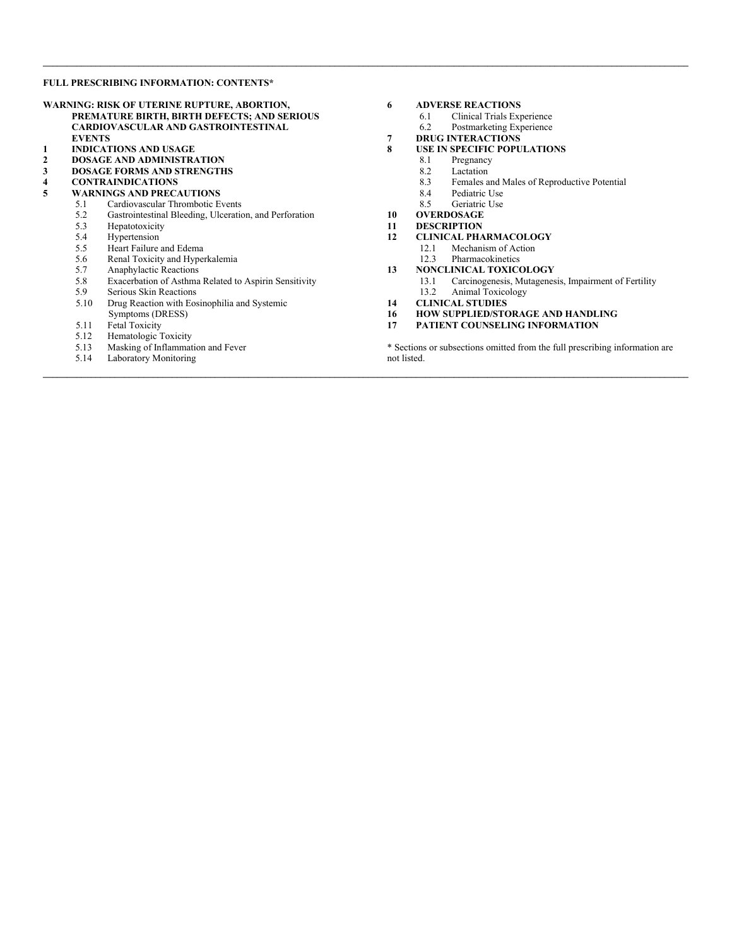#### **FULL PRESCRIBING INFORMATION: CONTENTS\***

|              |                                                      | WARNING: RISK OF UTERINE RUPTURE, ABORTION,            |  |  |  |
|--------------|------------------------------------------------------|--------------------------------------------------------|--|--|--|
|              |                                                      | PREMATURE BIRTH, BIRTH DEFECTS; AND SERIOUS            |  |  |  |
|              | <b>CARDIOVASCULAR AND GASTROINTESTINAL</b>           |                                                        |  |  |  |
|              | <b>EVENTS</b>                                        |                                                        |  |  |  |
| 1            |                                                      | <b>INDICATIONS AND USAGE</b>                           |  |  |  |
| $\mathbf{2}$ |                                                      | <b>DOSAGE AND ADMINISTRATION</b>                       |  |  |  |
| 3            |                                                      | <b>DOSAGE FORMS AND STRENGTHS</b>                      |  |  |  |
| 4            |                                                      | <b>CONTRAINDICATIONS</b>                               |  |  |  |
| 5            |                                                      | <b>WARNINGS AND PRECAUTIONS</b>                        |  |  |  |
|              | 5.1                                                  | Cardiovascular Thrombotic Events                       |  |  |  |
|              | 5.2                                                  | Gastrointestinal Bleeding, Ulceration, and Perforation |  |  |  |
|              | 5.3<br>Hepatotoxicity                                |                                                        |  |  |  |
|              |                                                      | 5.4 Hypertension                                       |  |  |  |
|              |                                                      | 5.5 Heart Failure and Edema                            |  |  |  |
|              | 5.6                                                  | Renal Toxicity and Hyperkalemia                        |  |  |  |
|              | 5.7                                                  | Anaphylactic Reactions                                 |  |  |  |
|              | 5.8                                                  | Exacerbation of Asthma Related to Aspirin Sensitivity  |  |  |  |
|              | 5.9                                                  | Serious Skin Reactions                                 |  |  |  |
|              | 5.10<br>Drug Reaction with Eosinophilia and Systemic |                                                        |  |  |  |
|              |                                                      | Symptoms (DRESS)                                       |  |  |  |
|              | 5.11                                                 | <b>Fetal Toxicity</b>                                  |  |  |  |
|              | 5.12                                                 | Hematologic Toxicity                                   |  |  |  |
|              | 5.13                                                 | Masking of Inflammation and Fever                      |  |  |  |

5.14 Laboratory Monitoring

# **6 ADVERSE REACTIONS**

 $\mathcal{L} = \{ \mathcal{L} = \{ \mathcal{L} = \{ \mathcal{L} = \{ \mathcal{L} = \{ \mathcal{L} = \{ \mathcal{L} = \{ \mathcal{L} = \{ \mathcal{L} = \{ \mathcal{L} = \{ \mathcal{L} = \{ \mathcal{L} = \{ \mathcal{L} = \{ \mathcal{L} = \{ \mathcal{L} = \{ \mathcal{L} = \{ \mathcal{L} = \{ \mathcal{L} = \{ \mathcal{L} = \{ \mathcal{L} = \{ \mathcal{L} = \{ \mathcal{L} = \{ \mathcal{L} = \{ \mathcal{L} = \{ \mathcal{$ 

**\_\_\_\_\_\_\_\_\_\_\_\_\_\_\_\_\_\_\_\_\_\_\_\_\_\_\_\_\_\_\_\_\_\_\_\_\_\_\_\_\_\_\_\_\_\_\_\_\_\_\_\_\_\_\_\_\_\_\_\_\_\_\_\_\_\_\_\_\_\_\_\_\_\_\_\_\_\_\_\_\_\_\_\_\_\_\_\_\_\_\_\_\_\_\_\_\_\_\_\_\_\_\_\_\_\_\_\_\_\_\_\_\_\_\_\_\_\_\_\_\_\_\_\_\_\_\_\_\_\_\_\_\_\_\_**

- 
- 6.1 Clinical Trials Experience<br>6.2 Postmarketing Experience Postmarketing Experience
- **7 DRUG INTERACTIONS**
- 
- **8 USE IN SPECIFIC POPULATIONS**
	- 8.1 Pregnancy<br>8.2 Lactation
	- Lactation
	- 8.3 Females and Males of Reproductive Potential<br>8.4 Pediatric Use
	- 8.4 Pediatric Use<br>8.5 Geriatric Use
	- Geriatric Use
- **10 OVERDOSAGE**
- 
- **11 DESCRIPTION 12.1** Mechanism of Action
	- 12.1 Mechanism of Action<br>12.3 Pharmacokinetics
	- **Pharmacokinetics**
- **13 NONCLINICAL TOXICOLOGY**
	- 13.1 Carcinogenesis, Mutagenesis, Impairment of Fertility Animal Toxicology
- **14 CLINICAL STUDIES**
- **16 HOW SUPPLIED/STORAGE AND HANDLING**
- **17 PATIENT COUNSELING INFORMATION**

\* Sections or subsections omitted from the full prescribing information are not listed.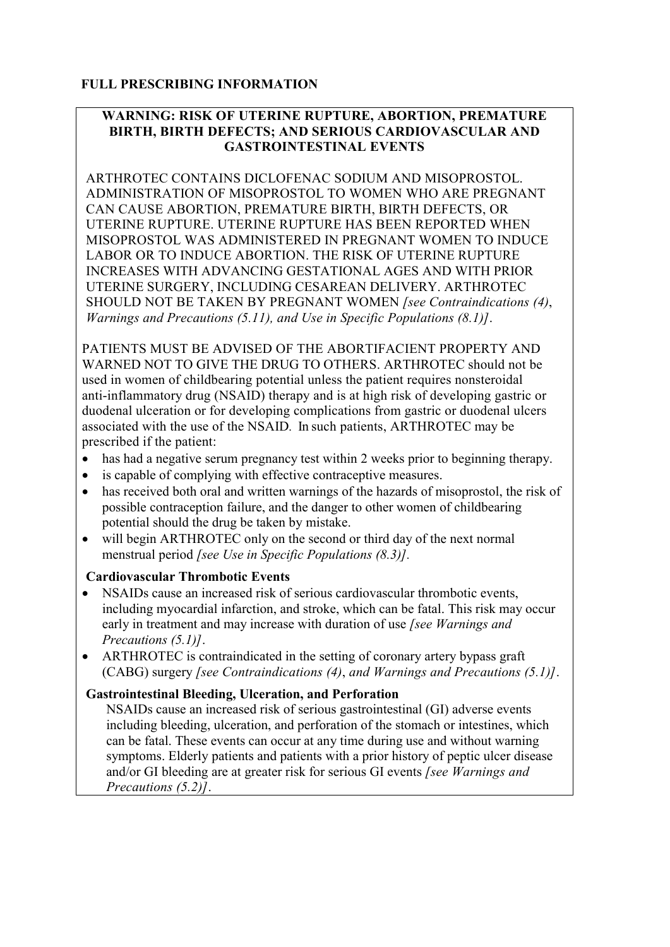# **FULL PRESCRIBING INFORMATION**

## **WARNING: RISK OF UTERINE RUPTURE, ABORTION, PREMATURE BIRTH, BIRTH DEFECTS; AND SERIOUS CARDIOVASCULAR AND GASTROINTESTINAL EVENTS**

ARTHROTEC CONTAINS DICLOFENAC SODIUM AND MISOPROSTOL. ADMINISTRATION OF MISOPROSTOL TO WOMEN WHO ARE PREGNANT CAN CAUSE ABORTION, PREMATURE BIRTH, BIRTH DEFECTS, OR UTERINE RUPTURE. UTERINE RUPTURE HAS BEEN REPORTED WHEN MISOPROSTOL WAS ADMINISTERED IN PREGNANT WOMEN TO INDUCE LABOR OR TO INDUCE ABORTION. THE RISK OF UTERINE RUPTURE INCREASES WITH ADVANCING GESTATIONAL AGES AND WITH PRIOR UTERINE SURGERY, INCLUDING CESAREAN DELIVERY. ARTHROTEC SHOULD NOT BE TAKEN BY PREGNANT WOMEN *[see Contraindications (4)*, *Warnings and Precautions (5.11), and Use in Specific Populations (8.1)]*.

PATIENTS MUST BE ADVISED OF THE ABORTIFACIENT PROPERTY AND WARNED NOT TO GIVE THE DRUG TO OTHERS. ARTHROTEC should not be used in women of childbearing potential unless the patient requires nonsteroidal anti-inflammatory drug (NSAID) therapy and is at high risk of developing gastric or duodenal ulceration or for developing complications from gastric or duodenal ulcers associated with the use of the NSAID*.* In such patients, ARTHROTEC may be prescribed if the patient:

- has had a negative serum pregnancy test within 2 weeks prior to beginning therapy.
- is capable of complying with effective contraceptive measures.
- has received both oral and written warnings of the hazards of misoprostol, the risk of possible contraception failure, and the danger to other women of childbearing potential should the drug be taken by mistake.
- will begin ARTHROTEC only on the second or third day of the next normal menstrual period *[see Use in Specific Populations (8.3)].*

## **Cardiovascular Thrombotic Events**

- NSAIDs cause an increased risk of serious cardiovascular thrombotic events, including myocardial infarction, and stroke, which can be fatal. This risk may occur early in treatment and may increase with duration of use *[see Warnings and Precautions (5.1)]*.
- ARTHROTEC is contraindicated in the setting of coronary artery bypass graft (CABG) surgery *[see Contraindications (4)*, *and Warnings and Precautions (5.1)]*.

## **Gastrointestinal Bleeding, Ulceration, and Perforation**

NSAIDs cause an increased risk of serious gastrointestinal (GI) adverse events including bleeding, ulceration, and perforation of the stomach or intestines, which can be fatal. These events can occur at any time during use and without warning symptoms. Elderly patients and patients with a prior history of peptic ulcer disease and/or GI bleeding are at greater risk for serious GI events *[see Warnings and Precautions (5.2)]*.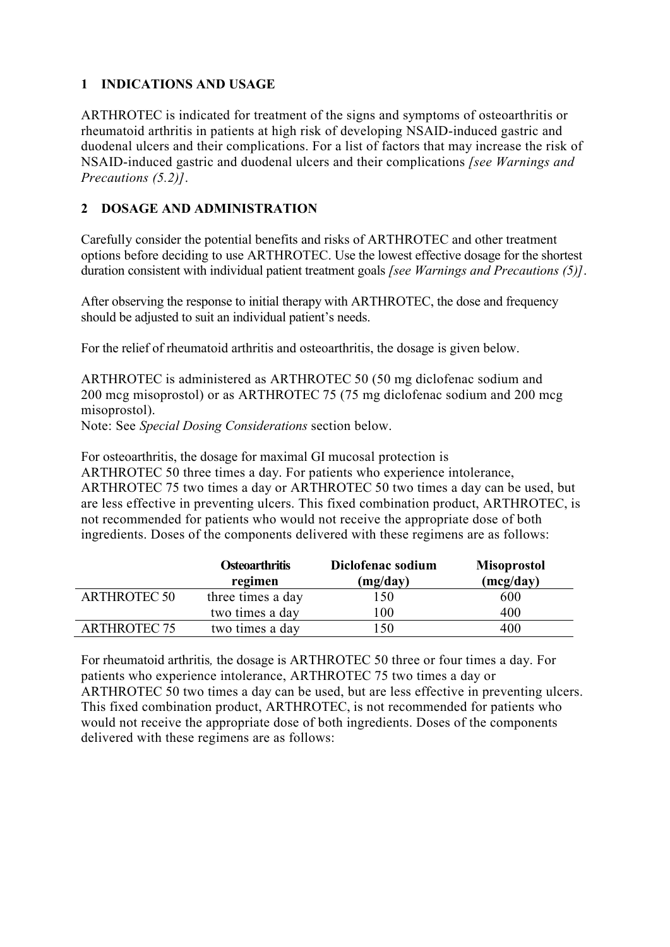# **1 INDICATIONS AND USAGE**

ARTHROTEC is indicated for treatment of the signs and symptoms of osteoarthritis or rheumatoid arthritis in patients at high risk of developing NSAID-induced gastric and duodenal ulcers and their complications. For a list of factors that may increase the risk of NSAID-induced gastric and duodenal ulcers and their complications *[see Warnings and Precautions (5.2)]*.

# **2 DOSAGE AND ADMINISTRATION**

Carefully consider the potential benefits and risks of ARTHROTEC and other treatment options before deciding to use ARTHROTEC. Use the lowest effective dosage for the shortest duration consistent with individual patient treatment goals *[see Warnings and Precautions (5)]*.

After observing the response to initial therapy with ARTHROTEC, the dose and frequency should be adjusted to suit an individual patient's needs.

For the relief of rheumatoid arthritis and osteoarthritis, the dosage is given below.

ARTHROTEC is administered as ARTHROTEC 50 (50 mg diclofenac sodium and 200 mcg misoprostol) or as ARTHROTEC 75 (75 mg diclofenac sodium and 200 mcg misoprostol).

Note: See *Special Dosing Considerations* section below.

For osteoarthritis, the dosage for maximal GI mucosal protection is ARTHROTEC 50 three times a day. For patients who experience intolerance, ARTHROTEC 75 two times a day or ARTHROTEC 50 two times a day can be used, but are less effective in preventing ulcers. This fixed combination product, ARTHROTEC, is not recommended for patients who would not receive the appropriate dose of both ingredients. Doses of the components delivered with these regimens are as follows:

|                     | <b>Osteoarthritis</b><br>regimen | Diclofenac sodium<br>(mg/day) | <b>Misoprostol</b><br>(mcg/day) |
|---------------------|----------------------------------|-------------------------------|---------------------------------|
| <b>ARTHROTEC 50</b> | three times a day                | 150                           | 600                             |
|                     | two times a day                  | 100                           | 400                             |
| <b>ARTHROTEC 75</b> | two times a day                  | l 50                          | 400                             |

For rheumatoid arthritis*,* the dosage is ARTHROTEC 50 three or four times a day. For patients who experience intolerance, ARTHROTEC 75 two times a day or ARTHROTEC 50 two times a day can be used, but are less effective in preventing ulcers. This fixed combination product, ARTHROTEC, is not recommended for patients who would not receive the appropriate dose of both ingredients. Doses of the components delivered with these regimens are as follows: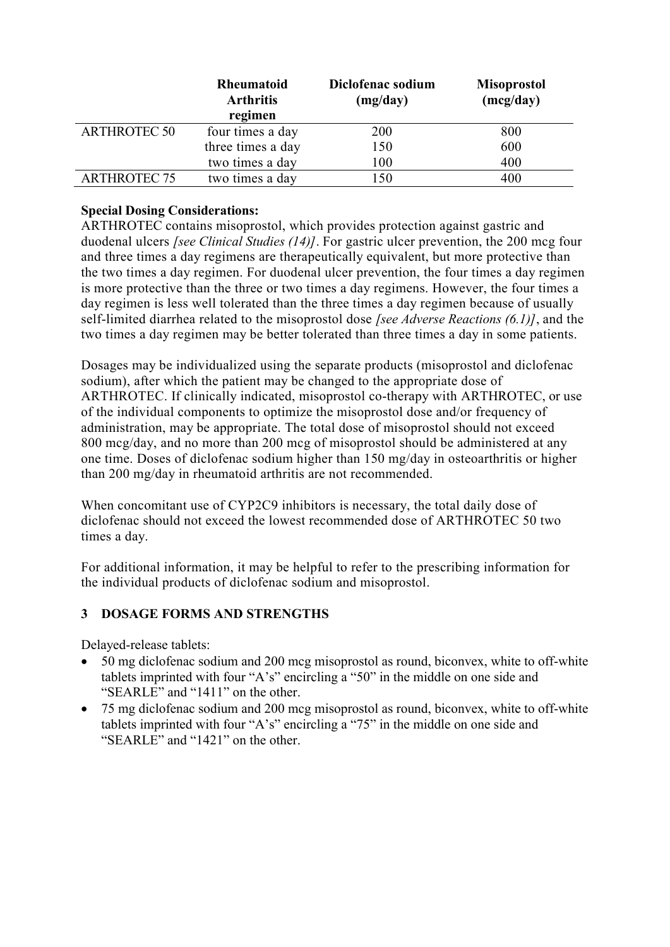|                     | <b>Rheumatoid</b><br><b>Arthritis</b><br>regimen | Diclofenac sodium<br>(mg/day) | <b>Misoprostol</b><br>(mcg/day) |
|---------------------|--------------------------------------------------|-------------------------------|---------------------------------|
| <b>ARTHROTEC 50</b> | four times a day                                 | 200                           | 800                             |
|                     | three times a day                                | 150                           | 600                             |
|                     | two times a day                                  | 100                           | 400                             |
| <b>ARTHROTEC 75</b> | two times a day                                  | l 50                          | 400                             |

## **Special Dosing Considerations:**

ARTHROTEC contains misoprostol, which provides protection against gastric and duodenal ulcers *[see Clinical Studies (14)]*. For gastric ulcer prevention, the 200 mcg four and three times a day regimens are therapeutically equivalent, but more protective than the two times a day regimen. For duodenal ulcer prevention, the four times a day regimen is more protective than the three or two times a day regimens. However, the four times a day regimen is less well tolerated than the three times a day regimen because of usually self-limited diarrhea related to the misoprostol dose *[see Adverse Reactions (6.1)]*, and the two times a day regimen may be better tolerated than three times a day in some patients.

Dosages may be individualized using the separate products (misoprostol and diclofenac sodium), after which the patient may be changed to the appropriate dose of ARTHROTEC. If clinically indicated, misoprostol co-therapy with ARTHROTEC, or use of the individual components to optimize the misoprostol dose and/or frequency of administration, may be appropriate. The total dose of misoprostol should not exceed 800 mcg/day, and no more than 200 mcg of misoprostol should be administered at any one time. Doses of diclofenac sodium higher than 150 mg/day in osteoarthritis or higher than 200 mg/day in rheumatoid arthritis are not recommended.

When concomitant use of CYP2C9 inhibitors is necessary, the total daily dose of diclofenac should not exceed the lowest recommended dose of ARTHROTEC 50 two times a day.

For additional information, it may be helpful to refer to the prescribing information for the individual products of diclofenac sodium and misoprostol.

## **3 DOSAGE FORMS AND STRENGTHS**

Delayed-release tablets:

- 50 mg diclofenac sodium and 200 mcg misoprostol as round, biconvex, white to off-white tablets imprinted with four "A's" encircling a "50" in the middle on one side and "SEARLE" and "1411" on the other.
- 75 mg diclofenac sodium and 200 mcg misoprostol as round, biconvex, white to off-white tablets imprinted with four "A's" encircling a "75" in the middle on one side and "SEARLE" and "1421" on the other.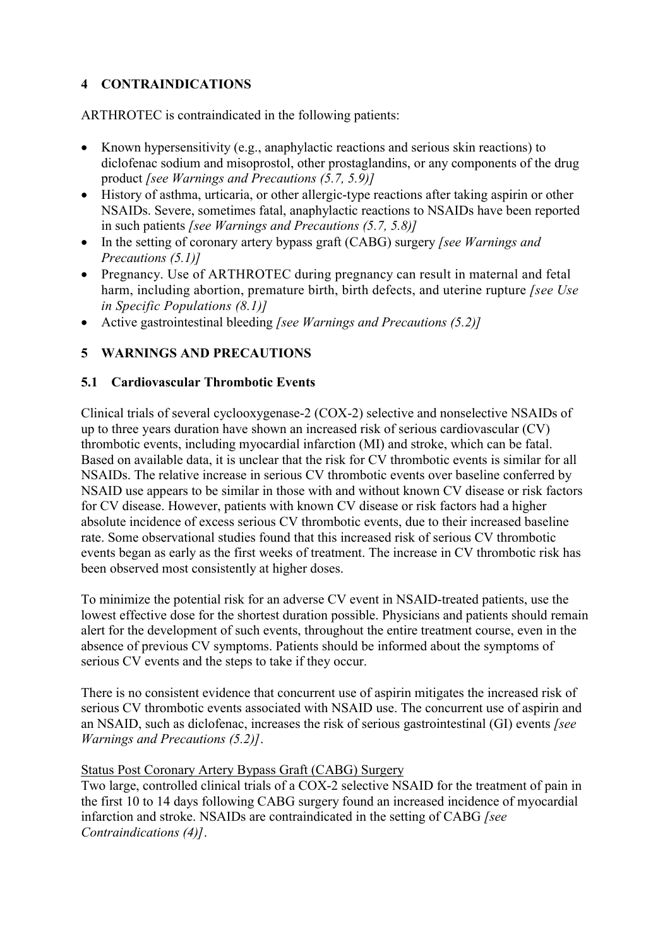# **4 CONTRAINDICATIONS**

ARTHROTEC is contraindicated in the following patients:

- Known hypersensitivity (e.g., anaphylactic reactions and serious skin reactions) to diclofenac sodium and misoprostol, other prostaglandins, or any components of the drug product *[see Warnings and Precautions (5.7, 5.9)]*
- History of asthma, urticaria, or other allergic-type reactions after taking aspirin or other NSAIDs. Severe, sometimes fatal, anaphylactic reactions to NSAIDs have been reported in such patients *[see Warnings and Precautions (5.7, 5.8)]*
- In the setting of coronary artery bypass graft (CABG) surgery *[see Warnings and Precautions (5.1)]*
- Pregnancy. Use of ARTHROTEC during pregnancy can result in maternal and fetal harm, including abortion, premature birth, birth defects, and uterine rupture *[see Use in Specific Populations (8.1)]*
- Active gastrointestinal bleeding *[see Warnings and Precautions (5.2)]*

# **5 WARNINGS AND PRECAUTIONS**

## **5.1 Cardiovascular Thrombotic Events**

Clinical trials of several cyclooxygenase-2 (COX-2) selective and nonselective NSAIDs of up to three years duration have shown an increased risk of serious cardiovascular (CV) thrombotic events, including myocardial infarction (MI) and stroke, which can be fatal. Based on available data, it is unclear that the risk for CV thrombotic events is similar for all NSAIDs. The relative increase in serious CV thrombotic events over baseline conferred by NSAID use appears to be similar in those with and without known CV disease or risk factors for CV disease. However, patients with known CV disease or risk factors had a higher absolute incidence of excess serious CV thrombotic events, due to their increased baseline rate. Some observational studies found that this increased risk of serious CV thrombotic events began as early as the first weeks of treatment. The increase in CV thrombotic risk has been observed most consistently at higher doses.

To minimize the potential risk for an adverse CV event in NSAID-treated patients, use the lowest effective dose for the shortest duration possible. Physicians and patients should remain alert for the development of such events, throughout the entire treatment course, even in the absence of previous CV symptoms. Patients should be informed about the symptoms of serious CV events and the steps to take if they occur.

There is no consistent evidence that concurrent use of aspirin mitigates the increased risk of serious CV thrombotic events associated with NSAID use. The concurrent use of aspirin and an NSAID, such as diclofenac, increases the risk of serious gastrointestinal (GI) events *[see Warnings and Precautions (5.2)]*.

## Status Post Coronary Artery Bypass Graft (CABG) Surgery

Two large, controlled clinical trials of a COX-2 selective NSAID for the treatment of pain in the first 10 to 14 days following CABG surgery found an increased incidence of myocardial infarction and stroke. NSAIDs are contraindicated in the setting of CABG *[see Contraindications (4)]*.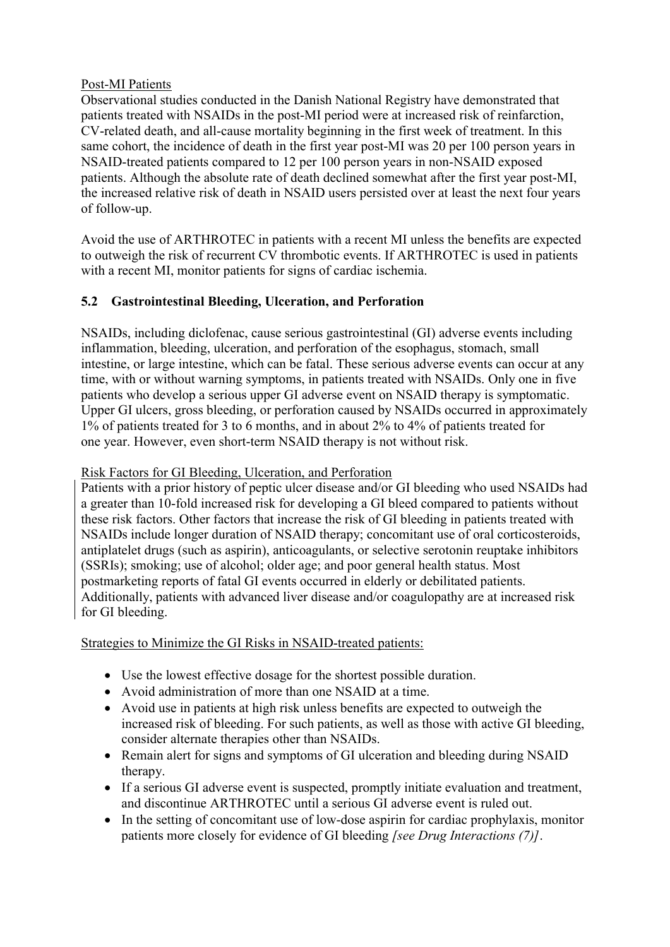## Post-MI Patients

Observational studies conducted in the Danish National Registry have demonstrated that patients treated with NSAIDs in the post-MI period were at increased risk of reinfarction, CV-related death, and all-cause mortality beginning in the first week of treatment. In this same cohort, the incidence of death in the first year post-MI was 20 per 100 person years in NSAID-treated patients compared to 12 per 100 person years in non-NSAID exposed patients. Although the absolute rate of death declined somewhat after the first year post-MI, the increased relative risk of death in NSAID users persisted over at least the next four years of follow-up.

Avoid the use of ARTHROTEC in patients with a recent MI unless the benefits are expected to outweigh the risk of recurrent CV thrombotic events. If ARTHROTEC is used in patients with a recent MI, monitor patients for signs of cardiac ischemia.

# **5.2 Gastrointestinal Bleeding, Ulceration, and Perforation**

NSAIDs, including diclofenac, cause serious gastrointestinal (GI) adverse events including inflammation, bleeding, ulceration, and perforation of the esophagus, stomach, small intestine, or large intestine, which can be fatal. These serious adverse events can occur at any time, with or without warning symptoms, in patients treated with NSAIDs. Only one in five patients who develop a serious upper GI adverse event on NSAID therapy is symptomatic. Upper GI ulcers, gross bleeding, or perforation caused by NSAIDs occurred in approximately 1% of patients treated for 3 to 6 months, and in about 2% to 4% of patients treated for one year. However, even short-term NSAID therapy is not without risk.

## Risk Factors for GI Bleeding, Ulceration, and Perforation

Patients with a prior history of peptic ulcer disease and/or GI bleeding who used NSAIDs had a greater than 10-fold increased risk for developing a GI bleed compared to patients without these risk factors. Other factors that increase the risk of GI bleeding in patients treated with NSAIDs include longer duration of NSAID therapy; concomitant use of oral corticosteroids, antiplatelet drugs (such as aspirin), anticoagulants, or selective serotonin reuptake inhibitors (SSRIs); smoking; use of alcohol; older age; and poor general health status. Most postmarketing reports of fatal GI events occurred in elderly or debilitated patients. Additionally, patients with advanced liver disease and/or coagulopathy are at increased risk for GI bleeding.

Strategies to Minimize the GI Risks in NSAID-treated patients:

- Use the lowest effective dosage for the shortest possible duration.
- Avoid administration of more than one NSAID at a time.
- Avoid use in patients at high risk unless benefits are expected to outweigh the increased risk of bleeding. For such patients, as well as those with active GI bleeding, consider alternate therapies other than NSAIDs.
- Remain alert for signs and symptoms of GI ulceration and bleeding during NSAID therapy.
- If a serious GI adverse event is suspected, promptly initiate evaluation and treatment, and discontinue ARTHROTEC until a serious GI adverse event is ruled out.
- In the setting of concomitant use of low-dose aspirin for cardiac prophylaxis, monitor patients more closely for evidence of GI bleeding *[see Drug Interactions (7)]*.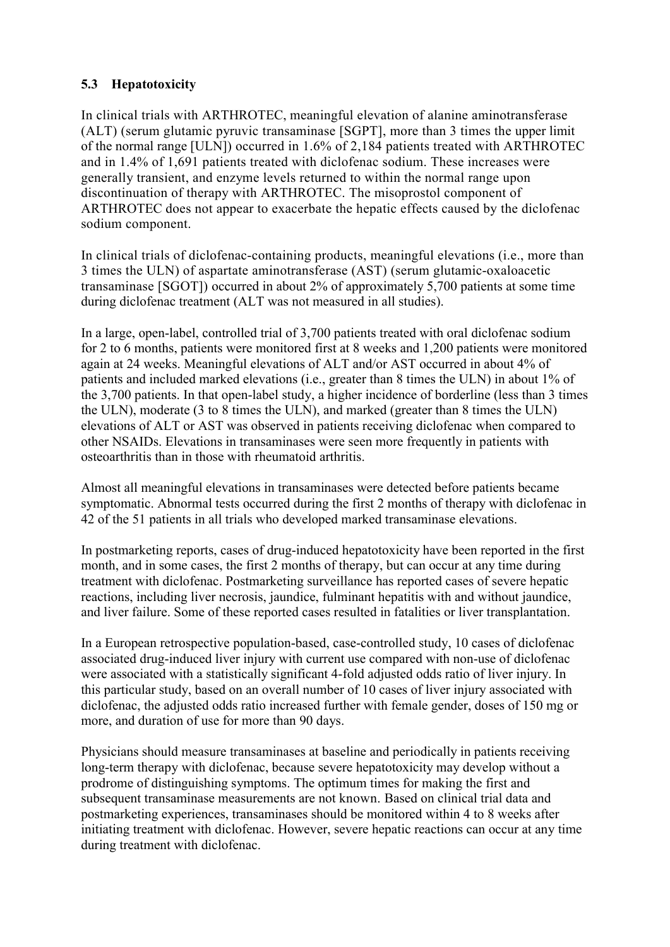# **5.3 Hepatotoxicity**

In clinical trials with ARTHROTEC, meaningful elevation of alanine aminotransferase (ALT) (serum glutamic pyruvic transaminase [SGPT], more than 3 times the upper limit of the normal range [ULN]) occurred in 1.6% of 2,184 patients treated with ARTHROTEC and in 1.4% of 1,691 patients treated with diclofenac sodium. These increases were generally transient, and enzyme levels returned to within the normal range upon discontinuation of therapy with ARTHROTEC. The misoprostol component of ARTHROTEC does not appear to exacerbate the hepatic effects caused by the diclofenac sodium component.

In clinical trials of diclofenac-containing products, meaningful elevations (i.e., more than 3 times the ULN) of aspartate aminotransferase (AST) (serum glutamic-oxaloacetic transaminase [SGOT]) occurred in about 2% of approximately 5,700 patients at some time during diclofenac treatment (ALT was not measured in all studies).

In a large, open-label, controlled trial of 3,700 patients treated with oral diclofenac sodium for 2 to 6 months, patients were monitored first at 8 weeks and 1,200 patients were monitored again at 24 weeks. Meaningful elevations of ALT and/or AST occurred in about 4% of patients and included marked elevations (i.e., greater than 8 times the ULN) in about 1% of the 3,700 patients. In that open-label study, a higher incidence of borderline (less than 3 times the ULN), moderate (3 to 8 times the ULN), and marked (greater than 8 times the ULN) elevations of ALT or AST was observed in patients receiving diclofenac when compared to other NSAIDs. Elevations in transaminases were seen more frequently in patients with osteoarthritis than in those with rheumatoid arthritis.

Almost all meaningful elevations in transaminases were detected before patients became symptomatic. Abnormal tests occurred during the first 2 months of therapy with diclofenac in 42 of the 51 patients in all trials who developed marked transaminase elevations.

In postmarketing reports, cases of drug-induced hepatotoxicity have been reported in the first month, and in some cases, the first 2 months of therapy, but can occur at any time during treatment with diclofenac. Postmarketing surveillance has reported cases of severe hepatic reactions, including liver necrosis, jaundice, fulminant hepatitis with and without jaundice, and liver failure. Some of these reported cases resulted in fatalities or liver transplantation.

In a European retrospective population-based, case-controlled study, 10 cases of diclofenac associated drug-induced liver injury with current use compared with non-use of diclofenac were associated with a statistically significant 4-fold adjusted odds ratio of liver injury. In this particular study, based on an overall number of 10 cases of liver injury associated with diclofenac, the adjusted odds ratio increased further with female gender, doses of 150 mg or more, and duration of use for more than 90 days.

Physicians should measure transaminases at baseline and periodically in patients receiving long-term therapy with diclofenac, because severe hepatotoxicity may develop without a prodrome of distinguishing symptoms. The optimum times for making the first and subsequent transaminase measurements are not known. Based on clinical trial data and postmarketing experiences, transaminases should be monitored within 4 to 8 weeks after initiating treatment with diclofenac. However, severe hepatic reactions can occur at any time during treatment with diclofenac.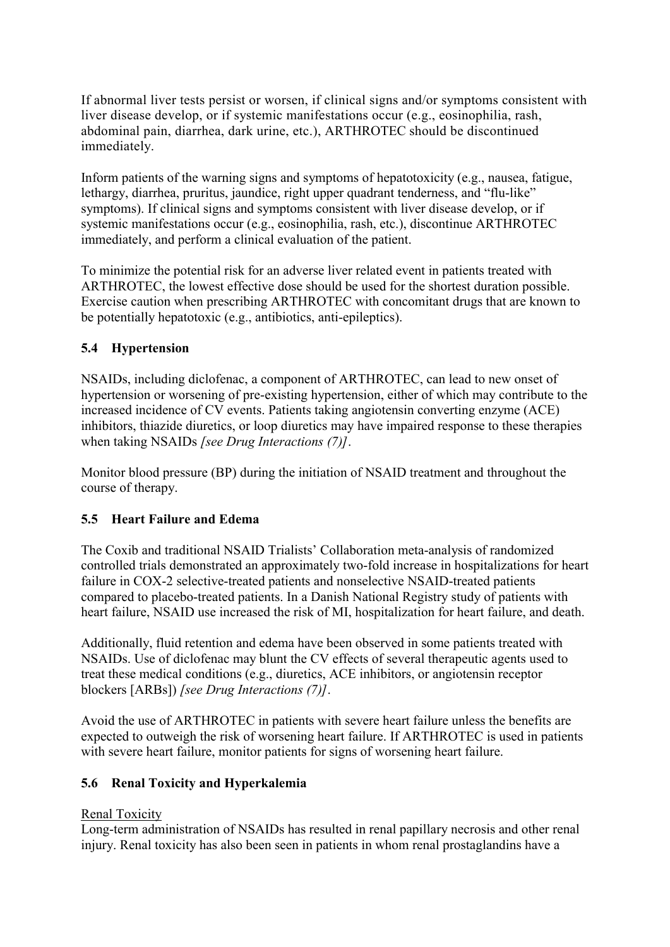If abnormal liver tests persist or worsen, if clinical signs and/or symptoms consistent with liver disease develop, or if systemic manifestations occur (e.g., eosinophilia, rash, abdominal pain, diarrhea, dark urine, etc.), ARTHROTEC should be discontinued immediately.

Inform patients of the warning signs and symptoms of hepatotoxicity (e.g., nausea, fatigue, lethargy, diarrhea, pruritus, jaundice, right upper quadrant tenderness, and "flu-like" symptoms). If clinical signs and symptoms consistent with liver disease develop, or if systemic manifestations occur (e.g., eosinophilia, rash, etc.), discontinue ARTHROTEC immediately, and perform a clinical evaluation of the patient.

To minimize the potential risk for an adverse liver related event in patients treated with ARTHROTEC, the lowest effective dose should be used for the shortest duration possible. Exercise caution when prescribing ARTHROTEC with concomitant drugs that are known to be potentially hepatotoxic (e.g., antibiotics, anti-epileptics).

# **5.4 Hypertension**

NSAIDs, including diclofenac, a component of ARTHROTEC, can lead to new onset of hypertension or worsening of pre-existing hypertension, either of which may contribute to the increased incidence of CV events. Patients taking angiotensin converting enzyme (ACE) inhibitors, thiazide diuretics, or loop diuretics may have impaired response to these therapies when taking NSAIDs *[see Drug Interactions (7)]*.

Monitor blood pressure (BP) during the initiation of NSAID treatment and throughout the course of therapy.

# **5.5 Heart Failure and Edema**

The Coxib and traditional NSAID Trialists' Collaboration meta-analysis of randomized controlled trials demonstrated an approximately two-fold increase in hospitalizations for heart failure in COX-2 selective-treated patients and nonselective NSAID-treated patients compared to placebo-treated patients. In a Danish National Registry study of patients with heart failure, NSAID use increased the risk of MI, hospitalization for heart failure, and death.

Additionally, fluid retention and edema have been observed in some patients treated with NSAIDs. Use of diclofenac may blunt the CV effects of several therapeutic agents used to treat these medical conditions (e.g., diuretics, ACE inhibitors, or angiotensin receptor blockers [ARBs]) *[see Drug Interactions (7)]*.

Avoid the use of ARTHROTEC in patients with severe heart failure unless the benefits are expected to outweigh the risk of worsening heart failure. If ARTHROTEC is used in patients with severe heart failure, monitor patients for signs of worsening heart failure.

## **5.6 Renal Toxicity and Hyperkalemia**

## Renal Toxicity

Long-term administration of NSAIDs has resulted in renal papillary necrosis and other renal injury. Renal toxicity has also been seen in patients in whom renal prostaglandins have a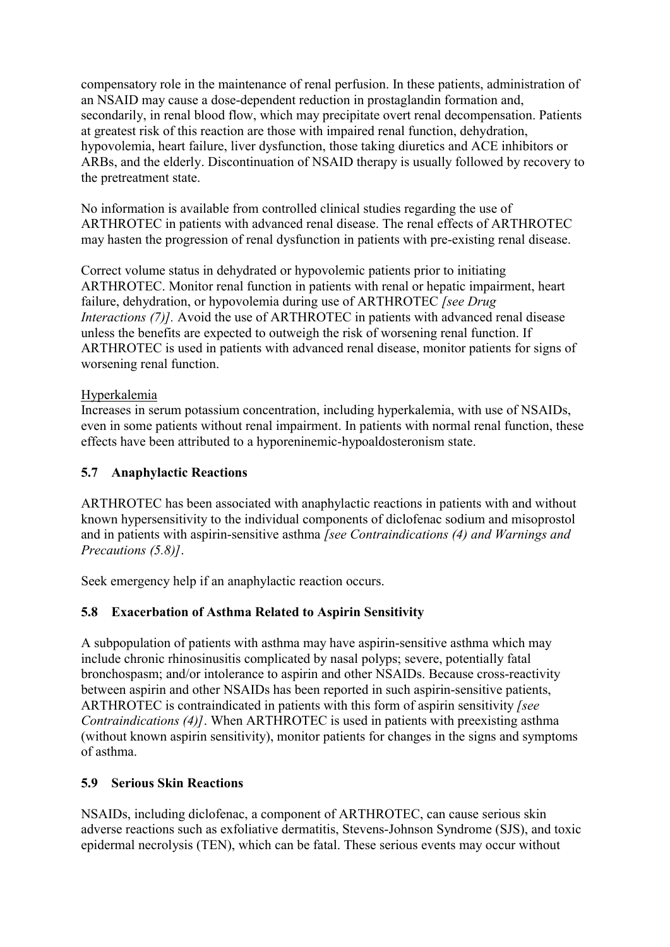compensatory role in the maintenance of renal perfusion. In these patients, administration of an NSAID may cause a dose-dependent reduction in prostaglandin formation and, secondarily, in renal blood flow, which may precipitate overt renal decompensation. Patients at greatest risk of this reaction are those with impaired renal function, dehydration, hypovolemia, heart failure, liver dysfunction, those taking diuretics and ACE inhibitors or ARBs, and the elderly. Discontinuation of NSAID therapy is usually followed by recovery to the pretreatment state.

No information is available from controlled clinical studies regarding the use of ARTHROTEC in patients with advanced renal disease. The renal effects of ARTHROTEC may hasten the progression of renal dysfunction in patients with pre-existing renal disease.

Correct volume status in dehydrated or hypovolemic patients prior to initiating ARTHROTEC. Monitor renal function in patients with renal or hepatic impairment, heart failure, dehydration, or hypovolemia during use of ARTHROTEC *[see Drug Interactions (7)].* Avoid the use of ARTHROTEC in patients with advanced renal disease unless the benefits are expected to outweigh the risk of worsening renal function. If ARTHROTEC is used in patients with advanced renal disease, monitor patients for signs of worsening renal function.

## Hyperkalemia

Increases in serum potassium concentration, including hyperkalemia, with use of NSAIDs, even in some patients without renal impairment. In patients with normal renal function, these effects have been attributed to a hyporeninemic-hypoaldosteronism state.

## **5.7 Anaphylactic Reactions**

ARTHROTEC has been associated with anaphylactic reactions in patients with and without known hypersensitivity to the individual components of diclofenac sodium and misoprostol and in patients with aspirin-sensitive asthma *[see Contraindications (4) and Warnings and Precautions (5.8)]*.

Seek emergency help if an anaphylactic reaction occurs.

# **5.8 Exacerbation of Asthma Related to Aspirin Sensitivity**

A subpopulation of patients with asthma may have aspirin-sensitive asthma which may include chronic rhinosinusitis complicated by nasal polyps; severe, potentially fatal bronchospasm; and/or intolerance to aspirin and other NSAIDs. Because cross-reactivity between aspirin and other NSAIDs has been reported in such aspirin-sensitive patients, ARTHROTEC is contraindicated in patients with this form of aspirin sensitivity *[see Contraindications (4)]*. When ARTHROTEC is used in patients with preexisting asthma (without known aspirin sensitivity), monitor patients for changes in the signs and symptoms of asthma.

## **5.9 Serious Skin Reactions**

NSAIDs, including diclofenac, a component of ARTHROTEC, can cause serious skin adverse reactions such as exfoliative dermatitis, Stevens-Johnson Syndrome (SJS), and toxic epidermal necrolysis (TEN), which can be fatal. These serious events may occur without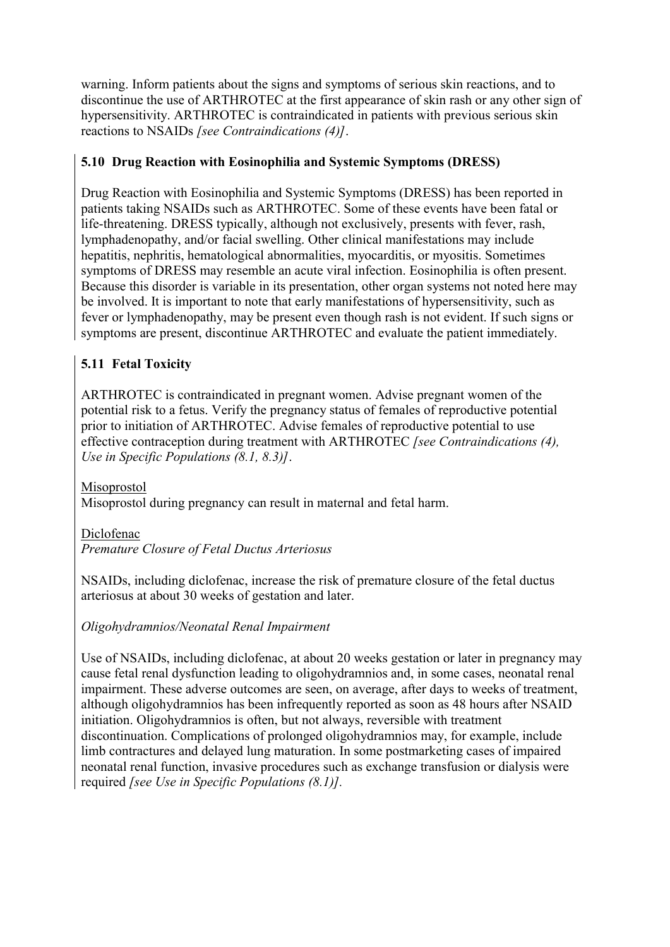warning. Inform patients about the signs and symptoms of serious skin reactions, and to discontinue the use of ARTHROTEC at the first appearance of skin rash or any other sign of hypersensitivity. ARTHROTEC is contraindicated in patients with previous serious skin reactions to NSAIDs *[see Contraindications (4)]*.

# **5.10 Drug Reaction with Eosinophilia and Systemic Symptoms (DRESS)**

Drug Reaction with Eosinophilia and Systemic Symptoms (DRESS) has been reported in patients taking NSAIDs such as ARTHROTEC. Some of these events have been fatal or life-threatening. DRESS typically, although not exclusively, presents with fever, rash, lymphadenopathy, and/or facial swelling. Other clinical manifestations may include hepatitis, nephritis, hematological abnormalities, myocarditis, or myositis. Sometimes symptoms of DRESS may resemble an acute viral infection. Eosinophilia is often present. Because this disorder is variable in its presentation, other organ systems not noted here may be involved. It is important to note that early manifestations of hypersensitivity, such as fever or lymphadenopathy, may be present even though rash is not evident. If such signs or symptoms are present, discontinue ARTHROTEC and evaluate the patient immediately.

# **5.11 Fetal Toxicity**

ARTHROTEC is contraindicated in pregnant women. Advise pregnant women of the potential risk to a fetus. Verify the pregnancy status of females of reproductive potential prior to initiation of ARTHROTEC. Advise females of reproductive potential to use effective contraception during treatment with ARTHROTEC *[see Contraindications (4), Use in Specific Populations (8.1, 8.3)]*.

Misoprostol

Misoprostol during pregnancy can result in maternal and fetal harm.

Diclofenac

*Premature Closure of Fetal Ductus Arteriosus*

NSAIDs, including diclofenac, increase the risk of premature closure of the fetal ductus arteriosus at about 30 weeks of gestation and later.

# *Oligohydramnios/Neonatal Renal Impairment*

Use of NSAIDs, including diclofenac, at about 20 weeks gestation or later in pregnancy may cause fetal renal dysfunction leading to oligohydramnios and, in some cases, neonatal renal impairment. These adverse outcomes are seen, on average, after days to weeks of treatment, although oligohydramnios has been infrequently reported as soon as 48 hours after NSAID initiation. Oligohydramnios is often, but not always, reversible with treatment discontinuation. Complications of prolonged oligohydramnios may, for example, include limb contractures and delayed lung maturation. In some postmarketing cases of impaired neonatal renal function, invasive procedures such as exchange transfusion or dialysis were required *[see Use in Specific Populations (8.1)].*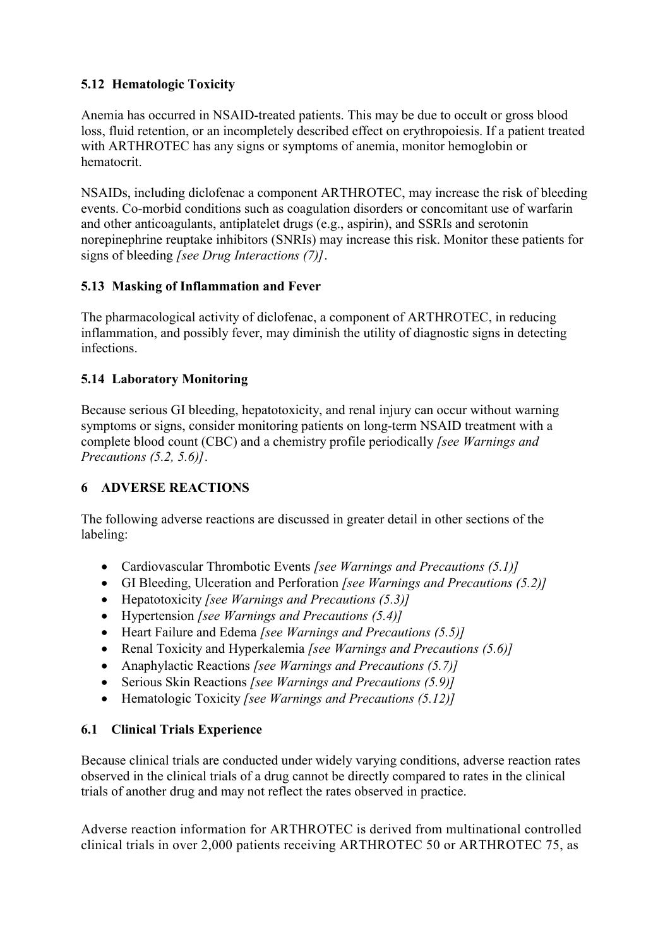# **5.12 Hematologic Toxicity**

Anemia has occurred in NSAID-treated patients. This may be due to occult or gross blood loss, fluid retention, or an incompletely described effect on erythropoiesis. If a patient treated with ARTHROTEC has any signs or symptoms of anemia, monitor hemoglobin or hematocrit.

NSAIDs, including diclofenac a component ARTHROTEC, may increase the risk of bleeding events. Co-morbid conditions such as coagulation disorders or concomitant use of warfarin and other anticoagulants, antiplatelet drugs (e.g., aspirin), and SSRIs and serotonin norepinephrine reuptake inhibitors (SNRIs) may increase this risk. Monitor these patients for signs of bleeding *[see Drug Interactions (7)]*.

# **5.13 Masking of Inflammation and Fever**

The pharmacological activity of diclofenac, a component of ARTHROTEC, in reducing inflammation, and possibly fever, may diminish the utility of diagnostic signs in detecting infections.

## **5.14 Laboratory Monitoring**

Because serious GI bleeding, hepatotoxicity, and renal injury can occur without warning symptoms or signs, consider monitoring patients on long-term NSAID treatment with a complete blood count (CBC) and a chemistry profile periodically *[see Warnings and Precautions (5.2, 5.6)]*.

# **6 ADVERSE REACTIONS**

The following adverse reactions are discussed in greater detail in other sections of the labeling:

- Cardiovascular Thrombotic Events *[see Warnings and Precautions (5.1)]*
- GI Bleeding, Ulceration and Perforation *[see Warnings and Precautions (5.2)]*
- Hepatotoxicity *[see Warnings and Precautions (5.3)]*
- Hypertension *[see Warnings and Precautions (5.4)]*
- Heart Failure and Edema *[see Warnings and Precautions (5.5)]*
- Renal Toxicity and Hyperkalemia *[see Warnings and Precautions (5.6)]*
- Anaphylactic Reactions *[see Warnings and Precautions (5.7)]*
- Serious Skin Reactions *[see Warnings and Precautions (5.9)]*
- Hematologic Toxicity *[see Warnings and Precautions (5.12)]*

# **6.1 Clinical Trials Experience**

Because clinical trials are conducted under widely varying conditions, adverse reaction rates observed in the clinical trials of a drug cannot be directly compared to rates in the clinical trials of another drug and may not reflect the rates observed in practice.

Adverse reaction information for ARTHROTEC is derived from multinational controlled clinical trials in over 2,000 patients receiving ARTHROTEC 50 or ARTHROTEC 75, as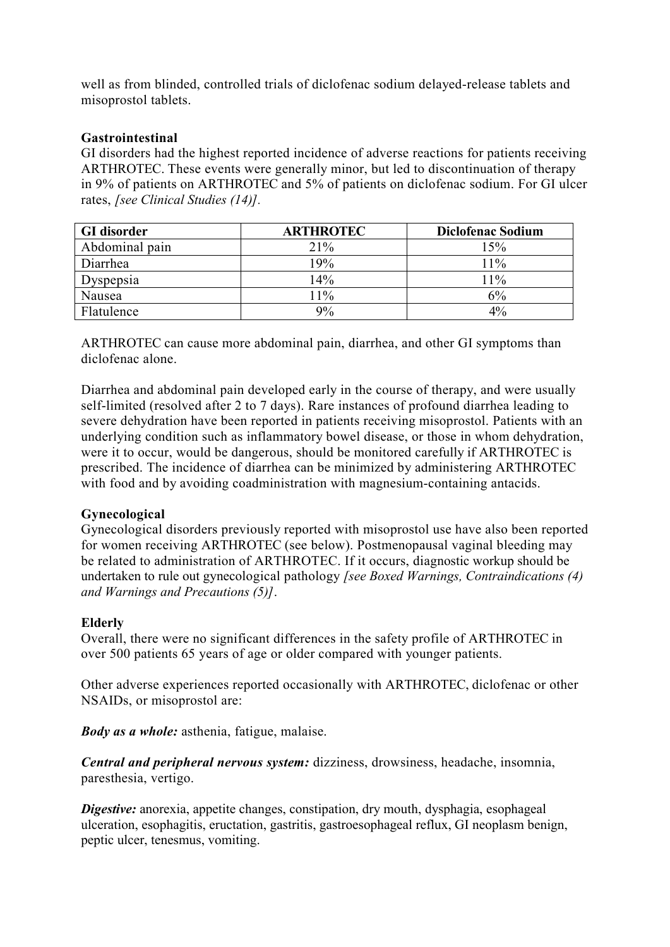well as from blinded, controlled trials of diclofenac sodium delayed-release tablets and misoprostol tablets.

## **Gastrointestinal**

GI disorders had the highest reported incidence of adverse reactions for patients receiving ARTHROTEC. These events were generally minor, but led to discontinuation of therapy in 9% of patients on ARTHROTEC and 5% of patients on diclofenac sodium. For GI ulcer rates, *[see Clinical Studies (14)].*

| <b>GI</b> disorder | <b>ARTHROTEC</b> | <b>Diclofenac Sodium</b> |
|--------------------|------------------|--------------------------|
| Abdominal pain     | 21%              | 15%                      |
| Diarrhea           | 19%              | 11%                      |
| Dyspepsia          | 14%              | 11%                      |
| Nausea             | 11%              | 6%                       |
| Flatulence         | 9%               | $4\%$                    |

ARTHROTEC can cause more abdominal pain, diarrhea, and other GI symptoms than diclofenac alone.

Diarrhea and abdominal pain developed early in the course of therapy, and were usually self-limited (resolved after 2 to 7 days). Rare instances of profound diarrhea leading to severe dehydration have been reported in patients receiving misoprostol. Patients with an underlying condition such as inflammatory bowel disease, or those in whom dehydration, were it to occur, would be dangerous, should be monitored carefully if ARTHROTEC is prescribed. The incidence of diarrhea can be minimized by administering ARTHROTEC with food and by avoiding coadministration with magnesium-containing antacids.

## **Gynecological**

Gynecological disorders previously reported with misoprostol use have also been reported for women receiving ARTHROTEC (see below). Postmenopausal vaginal bleeding may be related to administration of ARTHROTEC. If it occurs, diagnostic workup should be undertaken to rule out gynecological pathology *[see Boxed Warnings, Contraindications (4) and Warnings and Precautions (5)]*.

#### **Elderly**

Overall, there were no significant differences in the safety profile of ARTHROTEC in over 500 patients 65 years of age or older compared with younger patients.

Other adverse experiences reported occasionally with ARTHROTEC, diclofenac or other NSAIDs, or misoprostol are:

*Body as a whole:* asthenia, fatigue, malaise.

*Central and peripheral nervous system:* dizziness, drowsiness, headache, insomnia, paresthesia, vertigo.

*Digestive:* anorexia, appetite changes, constipation, dry mouth, dysphagia, esophageal ulceration, esophagitis, eructation, gastritis, gastroesophageal reflux, GI neoplasm benign, peptic ulcer, tenesmus, vomiting.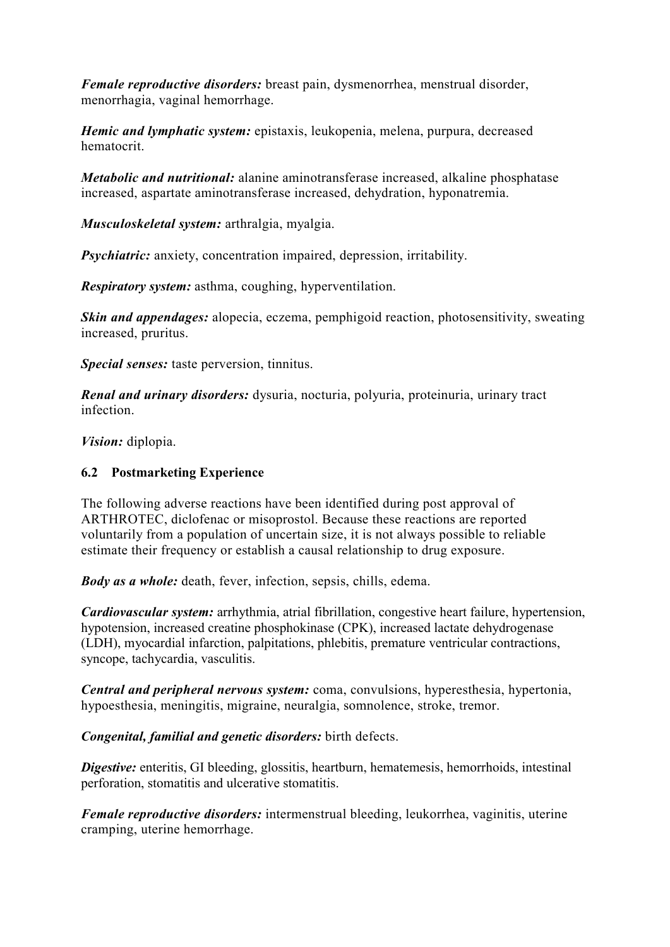*Female reproductive disorders:* breast pain, dysmenorrhea, menstrual disorder, menorrhagia, vaginal hemorrhage.

*Hemic and lymphatic system:* epistaxis, leukopenia, melena, purpura, decreased hematocrit.

*Metabolic and nutritional:* alanine aminotransferase increased, alkaline phosphatase increased, aspartate aminotransferase increased, dehydration, hyponatremia.

*Musculoskeletal system:* arthralgia, myalgia.

*Psychiatric:* anxiety, concentration impaired, depression, irritability.

*Respiratory system:* asthma, coughing, hyperventilation.

*Skin and appendages:* alopecia, eczema, pemphigoid reaction, photosensitivity, sweating increased, pruritus.

*Special senses:* taste perversion, tinnitus.

*Renal and urinary disorders:* dysuria, nocturia, polyuria, proteinuria, urinary tract infection.

*Vision:* diplopia.

#### **6.2 Postmarketing Experience**

The following adverse reactions have been identified during post approval of ARTHROTEC, diclofenac or misoprostol. Because these reactions are reported voluntarily from a population of uncertain size, it is not always possible to reliable estimate their frequency or establish a causal relationship to drug exposure.

*Body as a whole:* death, fever, infection, sepsis, chills, edema.

*Cardiovascular system:* arrhythmia, atrial fibrillation, congestive heart failure, hypertension, hypotension, increased creatine phosphokinase (CPK), increased lactate dehydrogenase (LDH), myocardial infarction, palpitations, phlebitis, premature ventricular contractions, syncope, tachycardia, vasculitis.

*Central and peripheral nervous system:* coma, convulsions, hyperesthesia, hypertonia, hypoesthesia, meningitis, migraine, neuralgia, somnolence, stroke, tremor.

*Congenital, familial and genetic disorders:* birth defects.

*Digestive:* enteritis, GI bleeding, glossitis, heartburn, hematemesis, hemorrhoids, intestinal perforation, stomatitis and ulcerative stomatitis.

*Female reproductive disorders:* intermenstrual bleeding, leukorrhea, vaginitis, uterine cramping, uterine hemorrhage.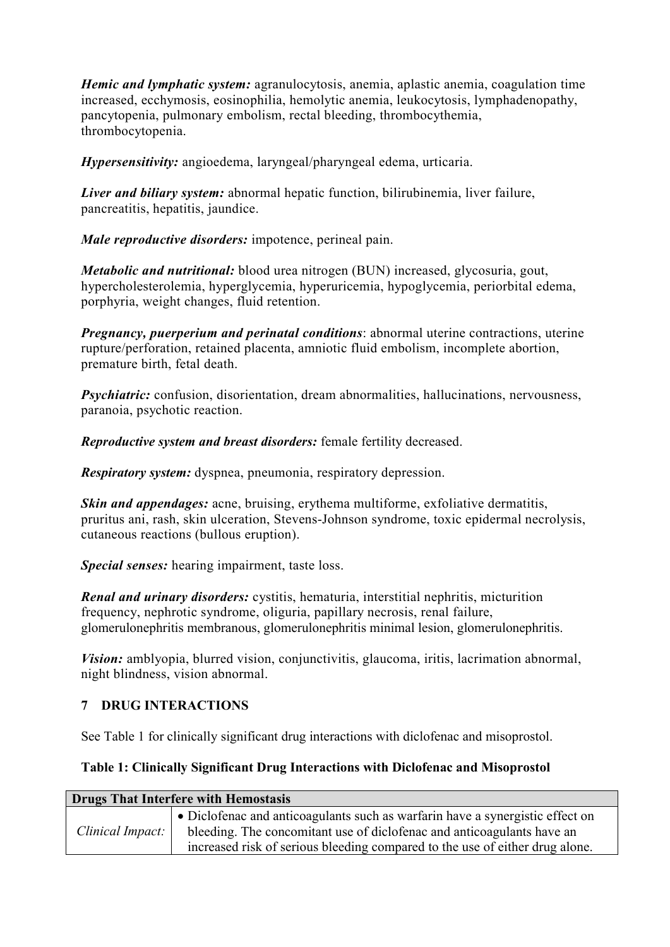*Hemic and lymphatic system:* agranulocytosis, anemia, aplastic anemia, coagulation time increased, ecchymosis, eosinophilia, hemolytic anemia, leukocytosis, lymphadenopathy, pancytopenia, pulmonary embolism, rectal bleeding, thrombocythemia, thrombocytopenia.

*Hypersensitivity:* angioedema, laryngeal/pharyngeal edema, urticaria.

*Liver and biliary system:* abnormal hepatic function, bilirubinemia, liver failure, pancreatitis, hepatitis, jaundice.

*Male reproductive disorders:* impotence, perineal pain.

*Metabolic and nutritional:* blood urea nitrogen (BUN) increased, glycosuria, gout, hypercholesterolemia, hyperglycemia, hyperuricemia, hypoglycemia, periorbital edema, porphyria, weight changes, fluid retention.

*Pregnancy, puerperium and perinatal conditions*: abnormal uterine contractions, uterine rupture/perforation, retained placenta, amniotic fluid embolism, incomplete abortion, premature birth, fetal death.

*Psychiatric:* confusion, disorientation, dream abnormalities, hallucinations, nervousness, paranoia, psychotic reaction.

*Reproductive system and breast disorders:* female fertility decreased.

*Respiratory system:* dyspnea, pneumonia, respiratory depression.

*Skin and appendages:* acne, bruising, erythema multiforme, exfoliative dermatitis, pruritus ani, rash, skin ulceration, Stevens-Johnson syndrome, toxic epidermal necrolysis, cutaneous reactions (bullous eruption).

*Special senses:* hearing impairment, taste loss.

*Renal and urinary disorders:* cystitis, hematuria, interstitial nephritis, micturition frequency, nephrotic syndrome, oliguria, papillary necrosis, renal failure, glomerulonephritis membranous, glomerulonephritis minimal lesion, glomerulonephritis.

*Vision:* amblyopia, blurred vision, conjunctivitis, glaucoma, iritis, lacrimation abnormal, night blindness, vision abnormal.

# **7 DRUG INTERACTIONS**

See Table 1 for clinically significant drug interactions with diclofenac and misoprostol.

# **Table 1: Clinically Significant Drug Interactions with Diclofenac and Misoprostol**

| Drugs That Interfere with Hemostasis |                                                                                       |  |
|--------------------------------------|---------------------------------------------------------------------------------------|--|
|                                      | $\bullet$ Diclofenac and anticoagulants such as warfarin have a synergistic effect on |  |
| Clinical Impact:                     | bleeding. The concomitant use of diclofenac and anticoagulants have an                |  |
|                                      | increased risk of serious bleeding compared to the use of either drug alone.          |  |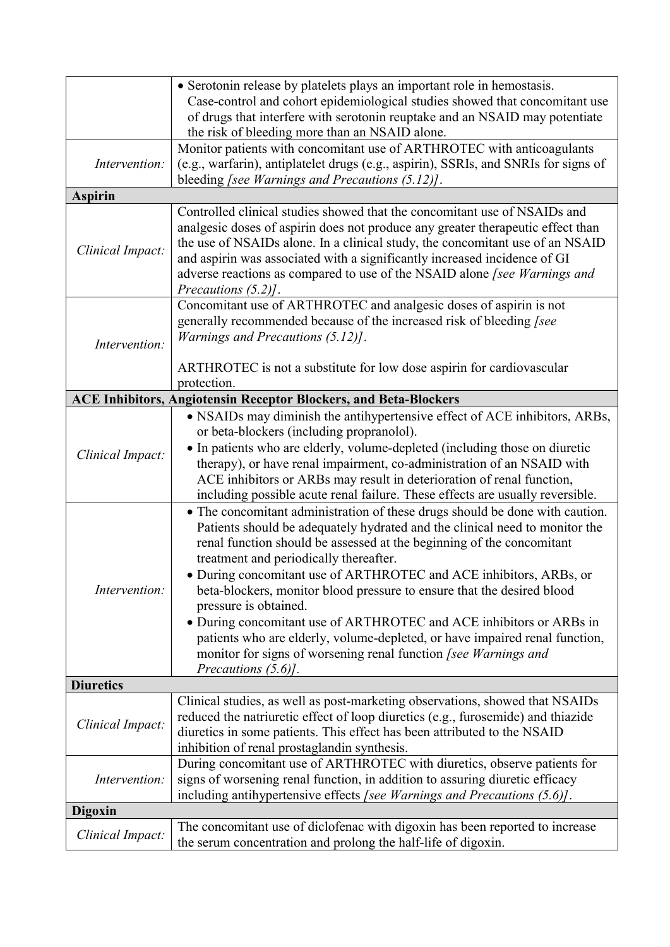|                                   | • Serotonin release by platelets plays an important role in hemostasis.<br>Case-control and cohort epidemiological studies showed that concomitant use<br>of drugs that interfere with serotonin reuptake and an NSAID may potentiate<br>the risk of bleeding more than an NSAID alone.                                                                                                                                                                                                                                                                                                                                                                                                                                                                                                                                                                                                                                                                                                                                                                                                                                                               |
|-----------------------------------|-------------------------------------------------------------------------------------------------------------------------------------------------------------------------------------------------------------------------------------------------------------------------------------------------------------------------------------------------------------------------------------------------------------------------------------------------------------------------------------------------------------------------------------------------------------------------------------------------------------------------------------------------------------------------------------------------------------------------------------------------------------------------------------------------------------------------------------------------------------------------------------------------------------------------------------------------------------------------------------------------------------------------------------------------------------------------------------------------------------------------------------------------------|
| Intervention:                     | Monitor patients with concomitant use of ARTHROTEC with anticoagulants<br>(e.g., warfarin), antiplatelet drugs (e.g., aspirin), SSRIs, and SNRIs for signs of<br>bleeding [see Warnings and Precautions (5.12)].                                                                                                                                                                                                                                                                                                                                                                                                                                                                                                                                                                                                                                                                                                                                                                                                                                                                                                                                      |
| <b>Aspirin</b>                    |                                                                                                                                                                                                                                                                                                                                                                                                                                                                                                                                                                                                                                                                                                                                                                                                                                                                                                                                                                                                                                                                                                                                                       |
| Clinical Impact:                  | Controlled clinical studies showed that the concomitant use of NSAIDs and<br>analgesic doses of aspirin does not produce any greater therapeutic effect than<br>the use of NSAIDs alone. In a clinical study, the concomitant use of an NSAID<br>and aspirin was associated with a significantly increased incidence of GI<br>adverse reactions as compared to use of the NSAID alone [see Warnings and<br>Precautions $(5.2)$ ].                                                                                                                                                                                                                                                                                                                                                                                                                                                                                                                                                                                                                                                                                                                     |
| Intervention:                     | Concomitant use of ARTHROTEC and analgesic doses of aspirin is not<br>generally recommended because of the increased risk of bleeding [see<br>Warnings and Precautions (5.12)].<br>ARTHROTEC is not a substitute for low dose aspirin for cardiovascular<br>protection.                                                                                                                                                                                                                                                                                                                                                                                                                                                                                                                                                                                                                                                                                                                                                                                                                                                                               |
|                                   | <b>ACE Inhibitors, Angiotensin Receptor Blockers, and Beta-Blockers</b>                                                                                                                                                                                                                                                                                                                                                                                                                                                                                                                                                                                                                                                                                                                                                                                                                                                                                                                                                                                                                                                                               |
| Clinical Impact:<br>Intervention: | • NSAIDs may diminish the antihypertensive effect of ACE inhibitors, ARBs,<br>or beta-blockers (including propranolol).<br>• In patients who are elderly, volume-depleted (including those on diuretic<br>therapy), or have renal impairment, co-administration of an NSAID with<br>ACE inhibitors or ARBs may result in deterioration of renal function,<br>including possible acute renal failure. These effects are usually reversible.<br>• The concomitant administration of these drugs should be done with caution.<br>Patients should be adequately hydrated and the clinical need to monitor the<br>renal function should be assessed at the beginning of the concomitant<br>treatment and periodically thereafter.<br>• During concomitant use of ARTHROTEC and ACE inhibitors, ARBs, or<br>beta-blockers, monitor blood pressure to ensure that the desired blood<br>pressure is obtained.<br>• During concomitant use of ARTHROTEC and ACE inhibitors or ARBs in<br>patients who are elderly, volume-depleted, or have impaired renal function,<br>monitor for signs of worsening renal function [see Warnings and<br>Precautions (5.6)]. |
| <b>Diuretics</b>                  |                                                                                                                                                                                                                                                                                                                                                                                                                                                                                                                                                                                                                                                                                                                                                                                                                                                                                                                                                                                                                                                                                                                                                       |
| Clinical Impact:                  | Clinical studies, as well as post-marketing observations, showed that NSAIDs<br>reduced the natriuretic effect of loop diuretics (e.g., furosemide) and thiazide<br>diuretics in some patients. This effect has been attributed to the NSAID<br>inhibition of renal prostaglandin synthesis.                                                                                                                                                                                                                                                                                                                                                                                                                                                                                                                                                                                                                                                                                                                                                                                                                                                          |
| Intervention:                     | During concomitant use of ARTHROTEC with diuretics, observe patients for<br>signs of worsening renal function, in addition to assuring diuretic efficacy<br>including antihypertensive effects [see Warnings and Precautions (5.6)].                                                                                                                                                                                                                                                                                                                                                                                                                                                                                                                                                                                                                                                                                                                                                                                                                                                                                                                  |
| <b>Digoxin</b>                    |                                                                                                                                                                                                                                                                                                                                                                                                                                                                                                                                                                                                                                                                                                                                                                                                                                                                                                                                                                                                                                                                                                                                                       |
| Clinical Impact:                  | The concomitant use of diclofenac with digoxin has been reported to increase<br>the serum concentration and prolong the half-life of digoxin.                                                                                                                                                                                                                                                                                                                                                                                                                                                                                                                                                                                                                                                                                                                                                                                                                                                                                                                                                                                                         |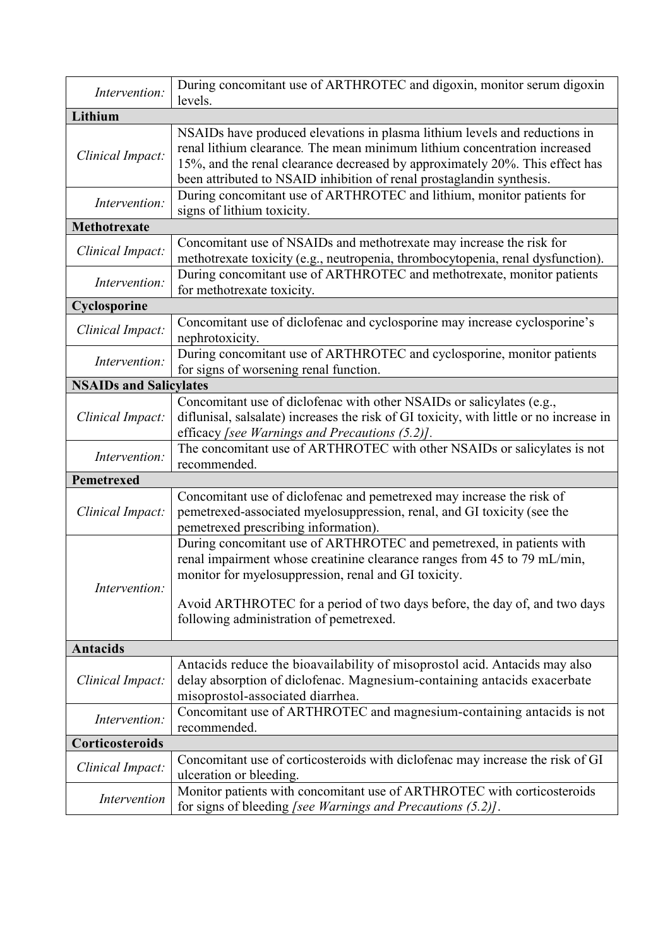| Intervention:                                                                                                                                                                                                                                                                                                                                     | During concomitant use of ARTHROTEC and digoxin, monitor serum digoxin<br>levels.                                                                                                                                                                                                                                |
|---------------------------------------------------------------------------------------------------------------------------------------------------------------------------------------------------------------------------------------------------------------------------------------------------------------------------------------------------|------------------------------------------------------------------------------------------------------------------------------------------------------------------------------------------------------------------------------------------------------------------------------------------------------------------|
| Lithium                                                                                                                                                                                                                                                                                                                                           |                                                                                                                                                                                                                                                                                                                  |
| Clinical Impact:                                                                                                                                                                                                                                                                                                                                  | NSAIDs have produced elevations in plasma lithium levels and reductions in<br>renal lithium clearance. The mean minimum lithium concentration increased<br>15%, and the renal clearance decreased by approximately 20%. This effect has<br>been attributed to NSAID inhibition of renal prostaglandin synthesis. |
| Intervention:                                                                                                                                                                                                                                                                                                                                     | During concomitant use of ARTHROTEC and lithium, monitor patients for<br>signs of lithium toxicity.                                                                                                                                                                                                              |
| Methotrexate                                                                                                                                                                                                                                                                                                                                      |                                                                                                                                                                                                                                                                                                                  |
| Clinical Impact:                                                                                                                                                                                                                                                                                                                                  | Concomitant use of NSAIDs and methotrexate may increase the risk for<br>methotrexate toxicity (e.g., neutropenia, thrombocytopenia, renal dysfunction).                                                                                                                                                          |
| Intervention:                                                                                                                                                                                                                                                                                                                                     | During concomitant use of ARTHROTEC and methotrexate, monitor patients<br>for methotrexate toxicity.                                                                                                                                                                                                             |
| Cyclosporine                                                                                                                                                                                                                                                                                                                                      |                                                                                                                                                                                                                                                                                                                  |
| Clinical Impact:                                                                                                                                                                                                                                                                                                                                  | Concomitant use of diclofenac and cyclosporine may increase cyclosporine's<br>nephrotoxicity.                                                                                                                                                                                                                    |
| Intervention:                                                                                                                                                                                                                                                                                                                                     | During concomitant use of ARTHROTEC and cyclosporine, monitor patients<br>for signs of worsening renal function.                                                                                                                                                                                                 |
| <b>NSAIDs and Salicylates</b>                                                                                                                                                                                                                                                                                                                     |                                                                                                                                                                                                                                                                                                                  |
| Clinical Impact:                                                                                                                                                                                                                                                                                                                                  | Concomitant use of diclofenac with other NSAIDs or salicylates (e.g.,<br>diflunisal, salsalate) increases the risk of GI toxicity, with little or no increase in<br>efficacy [see Warnings and Precautions $(5.2)$ ].                                                                                            |
| Intervention:                                                                                                                                                                                                                                                                                                                                     | The concomitant use of ARTHROTEC with other NSAIDs or salicylates is not<br>recommended.                                                                                                                                                                                                                         |
| <b>Pemetrexed</b>                                                                                                                                                                                                                                                                                                                                 |                                                                                                                                                                                                                                                                                                                  |
| Clinical Impact:                                                                                                                                                                                                                                                                                                                                  | Concomitant use of diclofenac and pemetrexed may increase the risk of<br>pemetrexed-associated myelosuppression, renal, and GI toxicity (see the<br>pemetrexed prescribing information).                                                                                                                         |
| During concomitant use of ARTHROTEC and pemetrexed, in patients with<br>renal impairment whose creatinine clearance ranges from 45 to 79 mL/min,<br>monitor for myelosuppression, renal and GI toxicity.<br>Intervention:<br>Avoid ARTHROTEC for a period of two days before, the day of, and two days<br>following administration of pemetrexed. |                                                                                                                                                                                                                                                                                                                  |
| <b>Antacids</b>                                                                                                                                                                                                                                                                                                                                   |                                                                                                                                                                                                                                                                                                                  |
| Clinical Impact:                                                                                                                                                                                                                                                                                                                                  | Antacids reduce the bioavailability of misoprostol acid. Antacids may also<br>delay absorption of diclofenac. Magnesium-containing antacids exacerbate<br>misoprostol-associated diarrhea.                                                                                                                       |
| Intervention:                                                                                                                                                                                                                                                                                                                                     | Concomitant use of ARTHROTEC and magnesium-containing antacids is not<br>recommended.                                                                                                                                                                                                                            |
| Corticosteroids                                                                                                                                                                                                                                                                                                                                   |                                                                                                                                                                                                                                                                                                                  |
| Clinical Impact:                                                                                                                                                                                                                                                                                                                                  | Concomitant use of corticosteroids with diclofenac may increase the risk of GI<br>ulceration or bleeding.                                                                                                                                                                                                        |
| Intervention                                                                                                                                                                                                                                                                                                                                      | Monitor patients with concomitant use of ARTHROTEC with corticosteroids<br>for signs of bleeding [see Warnings and Precautions (5.2)].                                                                                                                                                                           |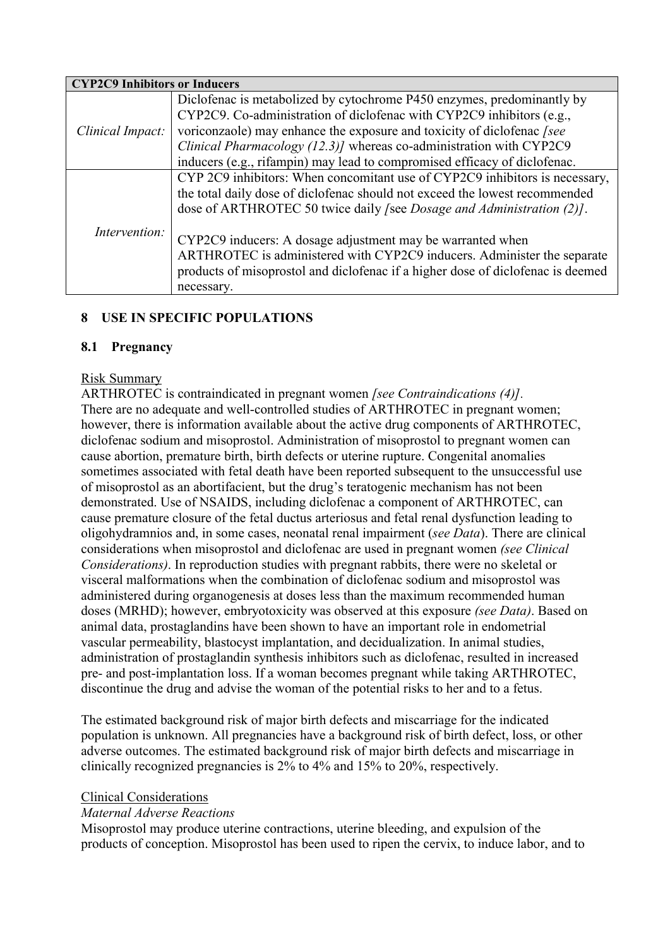| <b>CYP2C9 Inhibitors or Inducers</b> |                                                                                 |
|--------------------------------------|---------------------------------------------------------------------------------|
|                                      | Diclofenac is metabolized by cytochrome P450 enzymes, predominantly by          |
|                                      | CYP2C9. Co-administration of diclofenac with CYP2C9 inhibitors (e.g.,           |
| Clinical Impact:                     | voriconzaole) may enhance the exposure and toxicity of diclofenac [see          |
|                                      | Clinical Pharmacology (12.3)] whereas co-administration with CYP2C9             |
|                                      | inducers (e.g., rifampin) may lead to compromised efficacy of diclofenac.       |
|                                      | CYP 2C9 inhibitors: When concomitant use of CYP2C9 inhibitors is necessary,     |
|                                      | the total daily dose of diclofenac should not exceed the lowest recommended     |
|                                      | dose of ARTHROTEC 50 twice daily /see Dosage and Administration (2)].           |
|                                      |                                                                                 |
| Intervention:                        | CYP2C9 inducers: A dosage adjustment may be warranted when                      |
|                                      | ARTHROTEC is administered with CYP2C9 inducers. Administer the separate         |
|                                      | products of misoprostol and diclofenac if a higher dose of diclofenac is deemed |
|                                      | necessary.                                                                      |

# **8 USE IN SPECIFIC POPULATIONS**

## **8.1 Pregnancy**

## Risk Summary

ARTHROTEC is contraindicated in pregnant women *[see Contraindications (4)].* There are no adequate and well-controlled studies of ARTHROTEC in pregnant women; however, there is information available about the active drug components of ARTHROTEC, diclofenac sodium and misoprostol. Administration of misoprostol to pregnant women can cause abortion, premature birth, birth defects or uterine rupture. Congenital anomalies sometimes associated with fetal death have been reported subsequent to the unsuccessful use of misoprostol as an abortifacient, but the drug's teratogenic mechanism has not been demonstrated. Use of NSAIDS, including diclofenac a component of ARTHROTEC, can cause premature closure of the fetal ductus arteriosus and fetal renal dysfunction leading to oligohydramnios and, in some cases, neonatal renal impairment (*see Data*). There are clinical considerations when misoprostol and diclofenac are used in pregnant women *(see Clinical Considerations)*. In reproduction studies with pregnant rabbits, there were no skeletal or visceral malformations when the combination of diclofenac sodium and misoprostol was administered during organogenesis at doses less than the maximum recommended human doses (MRHD); however, embryotoxicity was observed at this exposure *(see Data)*. Based on animal data, prostaglandins have been shown to have an important role in endometrial vascular permeability, blastocyst implantation, and decidualization. In animal studies, administration of prostaglandin synthesis inhibitors such as diclofenac, resulted in increased pre- and post-implantation loss. If a woman becomes pregnant while taking ARTHROTEC, discontinue the drug and advise the woman of the potential risks to her and to a fetus.

The estimated background risk of major birth defects and miscarriage for the indicated population is unknown. All pregnancies have a background risk of birth defect, loss, or other adverse outcomes. The estimated background risk of major birth defects and miscarriage in clinically recognized pregnancies is 2% to 4% and 15% to 20%, respectively.

#### Clinical Considerations

## *Maternal Adverse Reactions*

Misoprostol may produce uterine contractions, uterine bleeding, and expulsion of the products of conception. Misoprostol has been used to ripen the cervix, to induce labor, and to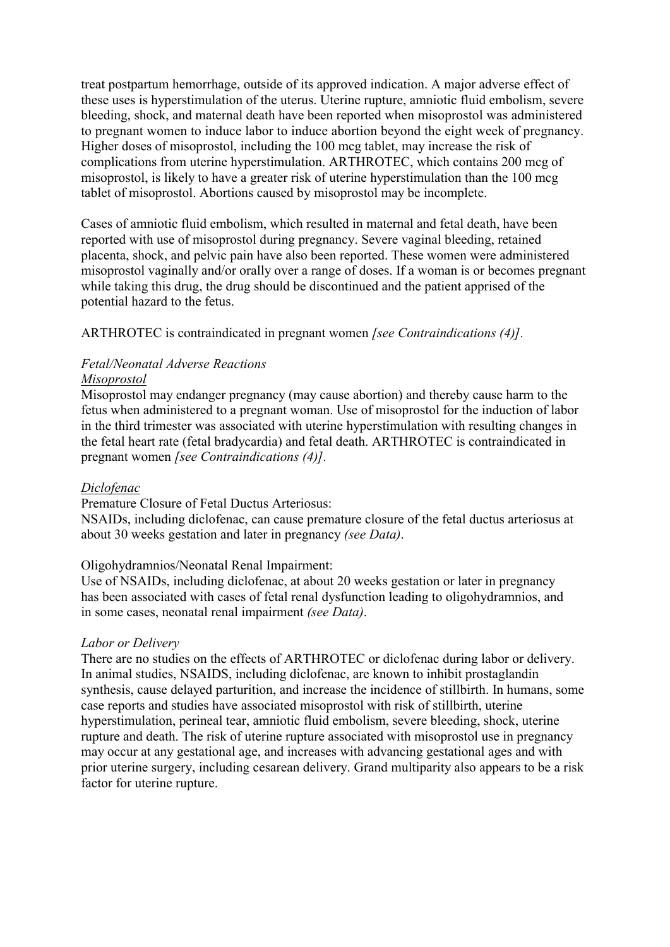treat postpartum hemorrhage, outside of its approved indication. A major adverse effect of these uses is hyperstimulation of the uterus. Uterine rupture, amniotic fluid embolism, severe bleeding, shock, and maternal death have been reported when misoprostol was administered to pregnant women to induce labor to induce abortion beyond the eight week of pregnancy. Higher doses of misoprostol, including the 100 mcg tablet, may increase the risk of complications from uterine hyperstimulation. ARTHROTEC, which contains 200 mcg of misoprostol, is likely to have a greater risk of uterine hyperstimulation than the 100 mcg tablet of misoprostol. Abortions caused by misoprostol may be incomplete.

Cases of amniotic fluid embolism, which resulted in maternal and fetal death, have been reported with use of misoprostol during pregnancy. Severe vaginal bleeding, retained placenta, shock, and pelvic pain have also been reported. These women were administered misoprostol vaginally and/or orally over a range of doses. If a woman is or becomes pregnant while taking this drug, the drug should be discontinued and the patient apprised of the potential hazard to the fetus.

ARTHROTEC is contraindicated in pregnant women *[see Contraindications (4)].*

#### *Fetal/Neonatal Adverse Reactions Misoprostol*

Misoprostol may endanger pregnancy (may cause abortion) and thereby cause harm to the fetus when administered to a pregnant woman. Use of misoprostol for the induction of labor in the third trimester was associated with uterine hyperstimulation with resulting changes in the fetal heart rate (fetal bradycardia) and fetal death. ARTHROTEC is contraindicated in pregnant women *[see Contraindications (4)].*

#### *Diclofenac*

Premature Closure of Fetal Ductus Arteriosus:

NSAIDs, including diclofenac, can cause premature closure of the fetal ductus arteriosus at about 30 weeks gestation and later in pregnancy *(see Data)*.

#### Oligohydramnios/Neonatal Renal Impairment:

Use of NSAIDs, including diclofenac, at about 20 weeks gestation or later in pregnancy has been associated with cases of fetal renal dysfunction leading to oligohydramnios, and in some cases, neonatal renal impairment *(see Data)*.

#### *Labor or Delivery*

There are no studies on the effects of ARTHROTEC or diclofenac during labor or delivery. In animal studies, NSAIDS, including diclofenac, are known to inhibit prostaglandin synthesis, cause delayed parturition, and increase the incidence of stillbirth. In humans, some case reports and studies have associated misoprostol with risk of stillbirth, uterine hyperstimulation, perineal tear, amniotic fluid embolism, severe bleeding, shock, uterine rupture and death. The risk of uterine rupture associated with misoprostol use in pregnancy may occur at any gestational age, and increases with advancing gestational ages and with prior uterine surgery, including cesarean delivery. Grand multiparity also appears to be a risk factor for uterine rupture.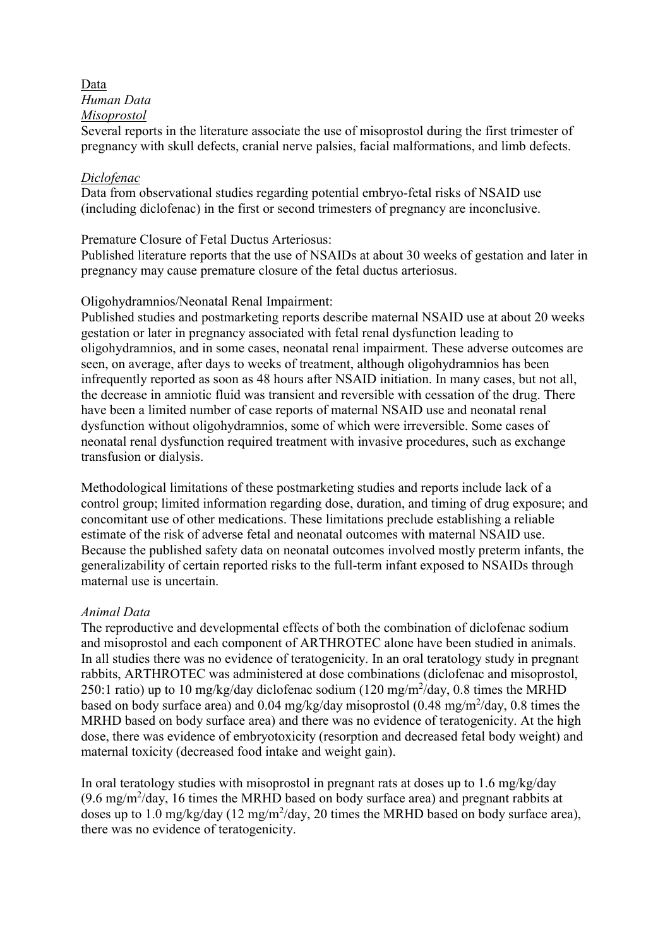#### Data

*Human Data*

## *Misoprostol*

Several reports in the literature associate the use of misoprostol during the first trimester of pregnancy with skull defects, cranial nerve palsies, facial malformations, and limb defects.

#### *Diclofenac*

Data from observational studies regarding potential embryo-fetal risks of NSAID use (including diclofenac) in the first or second trimesters of pregnancy are inconclusive.

#### Premature Closure of Fetal Ductus Arteriosus:

Published literature reports that the use of NSAIDs at about 30 weeks of gestation and later in pregnancy may cause premature closure of the fetal ductus arteriosus.

## Oligohydramnios/Neonatal Renal Impairment:

Published studies and postmarketing reports describe maternal NSAID use at about 20 weeks gestation or later in pregnancy associated with fetal renal dysfunction leading to oligohydramnios, and in some cases, neonatal renal impairment. These adverse outcomes are seen, on average, after days to weeks of treatment, although oligohydramnios has been infrequently reported as soon as 48 hours after NSAID initiation. In many cases, but not all, the decrease in amniotic fluid was transient and reversible with cessation of the drug. There have been a limited number of case reports of maternal NSAID use and neonatal renal dysfunction without oligohydramnios, some of which were irreversible. Some cases of neonatal renal dysfunction required treatment with invasive procedures, such as exchange transfusion or dialysis.

Methodological limitations of these postmarketing studies and reports include lack of a control group; limited information regarding dose, duration, and timing of drug exposure; and concomitant use of other medications. These limitations preclude establishing a reliable estimate of the risk of adverse fetal and neonatal outcomes with maternal NSAID use. Because the published safety data on neonatal outcomes involved mostly preterm infants, the generalizability of certain reported risks to the full-term infant exposed to NSAIDs through maternal use is uncertain.

## *Animal Data*

The reproductive and developmental effects of both the combination of diclofenac sodium and misoprostol and each component of ARTHROTEC alone have been studied in animals. In all studies there was no evidence of teratogenicity. In an oral teratology study in pregnant rabbits, ARTHROTEC was administered at dose combinations (diclofenac and misoprostol, 250:1 ratio) up to 10 mg/kg/day diclofenac sodium (120 mg/m<sup>2</sup>/day, 0.8 times the MRHD based on body surface area) and  $0.04 \text{ mg/kg/day}$  misoprostol  $(0.48 \text{ mg/m}^2/\text{day}, 0.8 \text{ times the}$ MRHD based on body surface area) and there was no evidence of teratogenicity. At the high dose, there was evidence of embryotoxicity (resorption and decreased fetal body weight) and maternal toxicity (decreased food intake and weight gain).

In oral teratology studies with misoprostol in pregnant rats at doses up to 1.6 mg/kg/day  $(9.6 \text{ mg/m}^2/\text{day}, 16 \text{ times the MRHD based on body surface area})$  and pregnant rabbits at doses up to 1.0 mg/kg/day (12 mg/m<sup>2</sup>/day, 20 times the MRHD based on body surface area), there was no evidence of teratogenicity.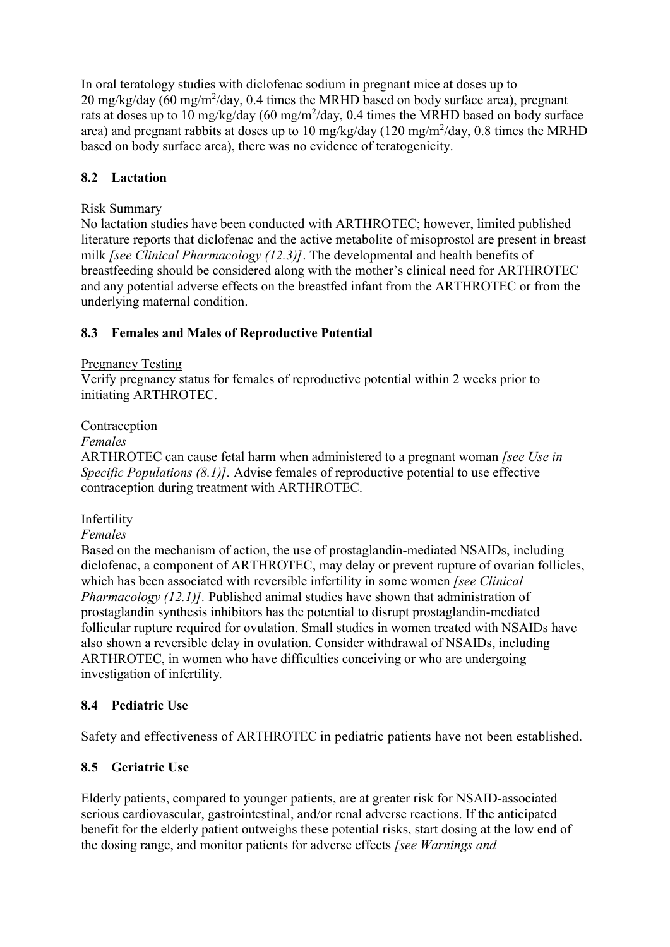In oral teratology studies with diclofenac sodium in pregnant mice at doses up to 20 mg/kg/day (60 mg/m<sup>2</sup>/day, 0.4 times the MRHD based on body surface area), pregnant rats at doses up to 10 mg/kg/day (60 mg/m<sup>2</sup>/day, 0.4 times the MRHD based on body surface area) and pregnant rabbits at doses up to 10 mg/kg/day (120 mg/m<sup>2</sup>/day, 0.8 times the MRHD based on body surface area), there was no evidence of teratogenicity.

# **8.2 Lactation**

#### Risk Summary

No lactation studies have been conducted with ARTHROTEC; however, limited published literature reports that diclofenac and the active metabolite of misoprostol are present in breast milk *[see Clinical Pharmacology (12.3)]*. The developmental and health benefits of breastfeeding should be considered along with the mother's clinical need for ARTHROTEC and any potential adverse effects on the breastfed infant from the ARTHROTEC or from the underlying maternal condition.

## **8.3 Females and Males of Reproductive Potential**

#### Pregnancy Testing

Verify pregnancy status for females of reproductive potential within 2 weeks prior to initiating ARTHROTEC.

#### Contraception

#### *Females*

ARTHROTEC can cause fetal harm when administered to a pregnant woman *[see Use in Specific Populations (8.1)].* Advise females of reproductive potential to use effective contraception during treatment with ARTHROTEC.

## Infertility

#### *Females*

Based on the mechanism of action, the use of prostaglandin-mediated NSAIDs, including diclofenac, a component of ARTHROTEC, may delay or prevent rupture of ovarian follicles, which has been associated with reversible infertility in some women *[see Clinical Pharmacology (12.1)].* Published animal studies have shown that administration of prostaglandin synthesis inhibitors has the potential to disrupt prostaglandin-mediated follicular rupture required for ovulation. Small studies in women treated with NSAIDs have also shown a reversible delay in ovulation. Consider withdrawal of NSAIDs, including ARTHROTEC, in women who have difficulties conceiving or who are undergoing investigation of infertility.

## **8.4 Pediatric Use**

Safety and effectiveness of ARTHROTEC in pediatric patients have not been established.

## **8.5 Geriatric Use**

Elderly patients, compared to younger patients, are at greater risk for NSAID-associated serious cardiovascular, gastrointestinal, and/or renal adverse reactions. If the anticipated benefit for the elderly patient outweighs these potential risks, start dosing at the low end of the dosing range, and monitor patients for adverse effects *[see Warnings and*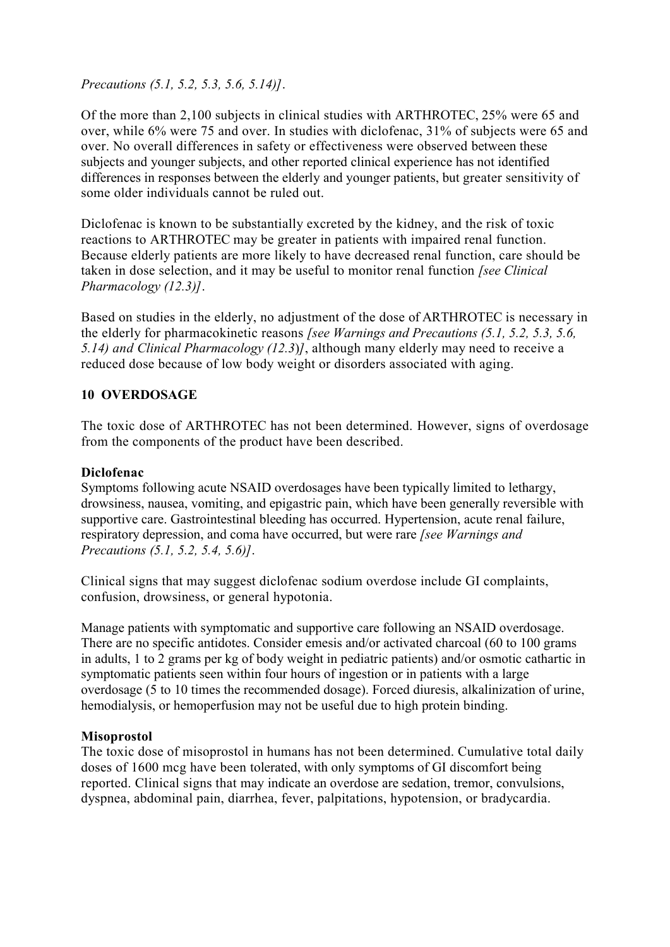*Precautions (5.1, 5.2, 5.3, 5.6, 5.14)]*.

Of the more than 2,100 subjects in clinical studies with ARTHROTEC, 25% were 65 and over, while 6% were 75 and over. In studies with diclofenac, 31% of subjects were 65 and over. No overall differences in safety or effectiveness were observed between these subjects and younger subjects, and other reported clinical experience has not identified differences in responses between the elderly and younger patients, but greater sensitivity of some older individuals cannot be ruled out.

Diclofenac is known to be substantially excreted by the kidney, and the risk of toxic reactions to ARTHROTEC may be greater in patients with impaired renal function. Because elderly patients are more likely to have decreased renal function, care should be taken in dose selection, and it may be useful to monitor renal function *[see Clinical Pharmacology (12.3)]*.

Based on studies in the elderly, no adjustment of the dose of ARTHROTEC is necessary in the elderly for pharmacokinetic reasons *[see Warnings and Precautions (5.1, 5.2, 5.3, 5.6, 5.14) and Clinical Pharmacology (12.3*)*]*, although many elderly may need to receive a reduced dose because of low body weight or disorders associated with aging.

## **10 OVERDOSAGE**

The toxic dose of ARTHROTEC has not been determined. However, signs of overdosage from the components of the product have been described.

#### **Diclofenac**

Symptoms following acute NSAID overdosages have been typically limited to lethargy, drowsiness, nausea, vomiting, and epigastric pain, which have been generally reversible with supportive care. Gastrointestinal bleeding has occurred. Hypertension, acute renal failure, respiratory depression, and coma have occurred, but were rare *[see Warnings and Precautions (5.1, 5.2, 5.4, 5.6)]*.

Clinical signs that may suggest diclofenac sodium overdose include GI complaints, confusion, drowsiness, or general hypotonia.

Manage patients with symptomatic and supportive care following an NSAID overdosage. There are no specific antidotes. Consider emesis and/or activated charcoal (60 to 100 grams in adults, 1 to 2 grams per kg of body weight in pediatric patients) and/or osmotic cathartic in symptomatic patients seen within four hours of ingestion or in patients with a large overdosage (5 to 10 times the recommended dosage). Forced diuresis, alkalinization of urine, hemodialysis, or hemoperfusion may not be useful due to high protein binding.

## **Misoprostol**

The toxic dose of misoprostol in humans has not been determined. Cumulative total daily doses of 1600 mcg have been tolerated, with only symptoms of GI discomfort being reported. Clinical signs that may indicate an overdose are sedation, tremor, convulsions, dyspnea, abdominal pain, diarrhea, fever, palpitations, hypotension, or bradycardia.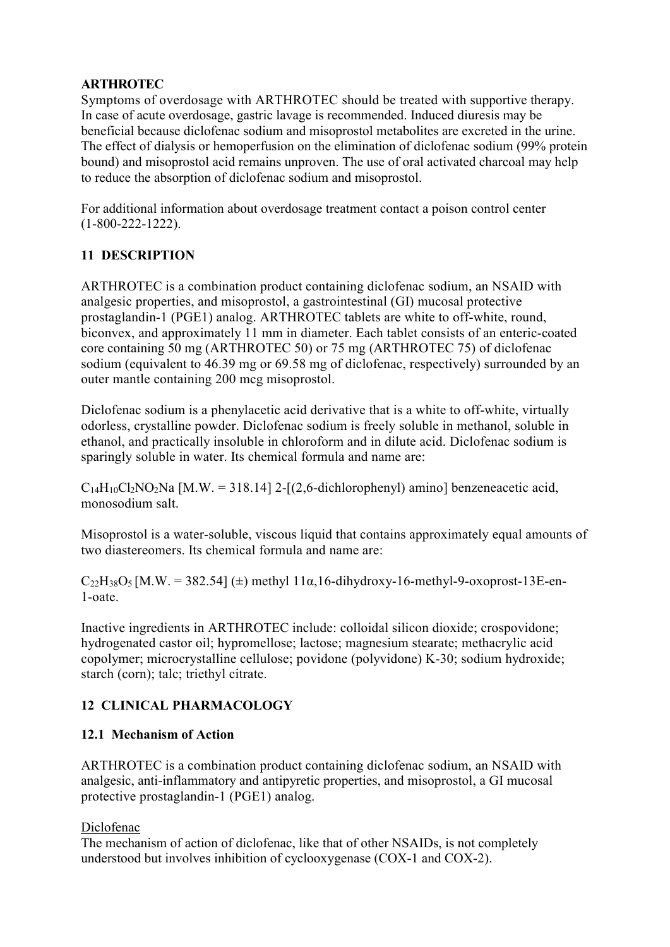## **ARTHROTEC**

Symptoms of overdosage with ARTHROTEC should be treated with supportive therapy. In case of acute overdosage, gastric lavage is recommended. Induced diuresis may be beneficial because diclofenac sodium and misoprostol metabolites are excreted in the urine. The effect of dialysis or hemoperfusion on the elimination of diclofenac sodium (99% protein bound) and misoprostol acid remains unproven. The use of oral activated charcoal may help to reduce the absorption of diclofenac sodium and misoprostol.

For additional information about overdosage treatment contact a poison control center (1-800-222-1222).

## **11 DESCRIPTION**

ARTHROTEC is a combination product containing diclofenac sodium, an NSAID with analgesic properties, and misoprostol, a gastrointestinal (GI) mucosal protective prostaglandin-1 (PGE1) analog. ARTHROTEC tablets are white to off-white, round, biconvex, and approximately 11 mm in diameter. Each tablet consists of an enteric-coated core containing 50 mg (ARTHROTEC 50) or 75 mg (ARTHROTEC 75) of diclofenac sodium (equivalent to 46.39 mg or 69.58 mg of diclofenac, respectively) surrounded by an outer mantle containing 200 mcg misoprostol.

Diclofenac sodium is a phenylacetic acid derivative that is a white to off-white, virtually odorless, crystalline powder. Diclofenac sodium is freely soluble in methanol, soluble in ethanol, and practically insoluble in chloroform and in dilute acid. Diclofenac sodium is sparingly soluble in water. Its chemical formula and name are:

 $C_{14}H_{10}Cl_2NO_2Na$  [M.W. = 318.14] 2-[(2,6-dichlorophenyl) amino] benzeneacetic acid, monosodium salt.

Misoprostol is a water-soluble, viscous liquid that contains approximately equal amounts of two diastereomers. Its chemical formula and name are:

 $C_{22}H_{38}O_5$  [M.W. = 382.54] ( $\pm$ ) methyl 11α,16-dihydroxy-16-methyl-9-oxoprost-13E-en-1-oate.

Inactive ingredients in ARTHROTEC include: colloidal silicon dioxide; crospovidone; hydrogenated castor oil; hypromellose; lactose; magnesium stearate; methacrylic acid copolymer; microcrystalline cellulose; povidone (polyvidone) K-30; sodium hydroxide; starch (corn); talc; triethyl citrate.

# **12 CLINICAL PHARMACOLOGY**

## **12.1 Mechanism of Action**

ARTHROTEC is a combination product containing diclofenac sodium, an NSAID with analgesic, anti-inflammatory and antipyretic properties, and misoprostol, a GI mucosal protective prostaglandin-1 (PGE1) analog.

Diclofenac

The mechanism of action of diclofenac, like that of other NSAIDs, is not completely understood but involves inhibition of cyclooxygenase (COX-1 and COX-2).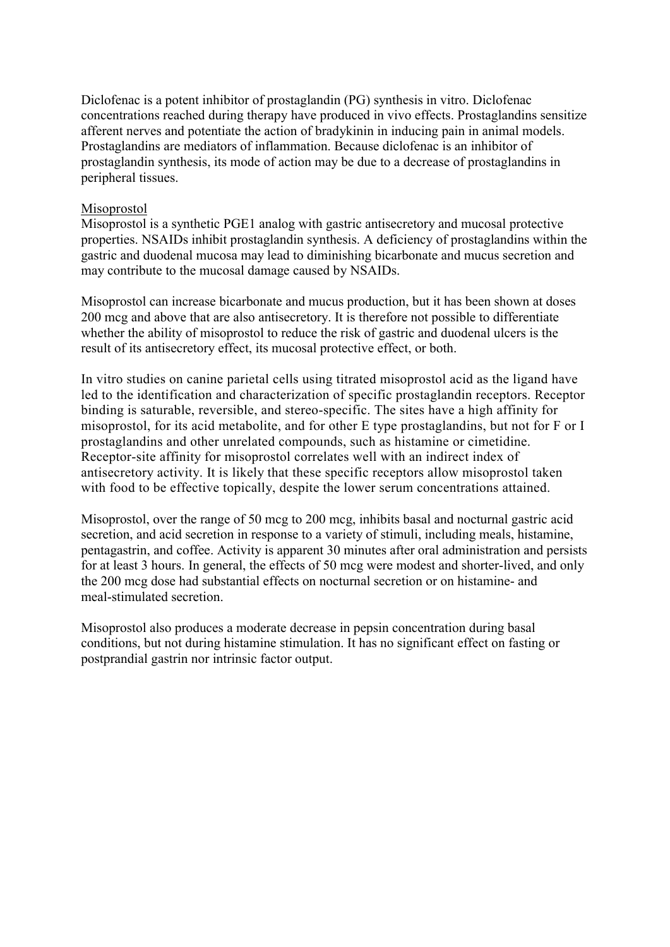Diclofenac is a potent inhibitor of prostaglandin (PG) synthesis in vitro. Diclofenac concentrations reached during therapy have produced in vivo effects. Prostaglandins sensitize afferent nerves and potentiate the action of bradykinin in inducing pain in animal models. Prostaglandins are mediators of inflammation. Because diclofenac is an inhibitor of prostaglandin synthesis, its mode of action may be due to a decrease of prostaglandins in peripheral tissues.

#### Misoprostol

Misoprostol is a synthetic PGE1 analog with gastric antisecretory and mucosal protective properties. NSAIDs inhibit prostaglandin synthesis. A deficiency of prostaglandins within the gastric and duodenal mucosa may lead to diminishing bicarbonate and mucus secretion and may contribute to the mucosal damage caused by NSAIDs.

Misoprostol can increase bicarbonate and mucus production, but it has been shown at doses 200 mcg and above that are also antisecretory. It is therefore not possible to differentiate whether the ability of misoprostol to reduce the risk of gastric and duodenal ulcers is the result of its antisecretory effect, its mucosal protective effect, or both.

In vitro studies on canine parietal cells using titrated misoprostol acid as the ligand have led to the identification and characterization of specific prostaglandin receptors. Receptor binding is saturable, reversible, and stereo-specific. The sites have a high affinity for misoprostol, for its acid metabolite, and for other E type prostaglandins, but not for F or I prostaglandins and other unrelated compounds, such as histamine or cimetidine. Receptor-site affinity for misoprostol correlates well with an indirect index of antisecretory activity. It is likely that these specific receptors allow misoprostol taken with food to be effective topically, despite the lower serum concentrations attained.

Misoprostol, over the range of 50 mcg to 200 mcg, inhibits basal and nocturnal gastric acid secretion, and acid secretion in response to a variety of stimuli, including meals, histamine, pentagastrin, and coffee. Activity is apparent 30 minutes after oral administration and persists for at least 3 hours. In general, the effects of 50 mcg were modest and shorter-lived, and only the 200 mcg dose had substantial effects on nocturnal secretion or on histamine- and meal-stimulated secretion.

Misoprostol also produces a moderate decrease in pepsin concentration during basal conditions, but not during histamine stimulation. It has no significant effect on fasting or postprandial gastrin nor intrinsic factor output.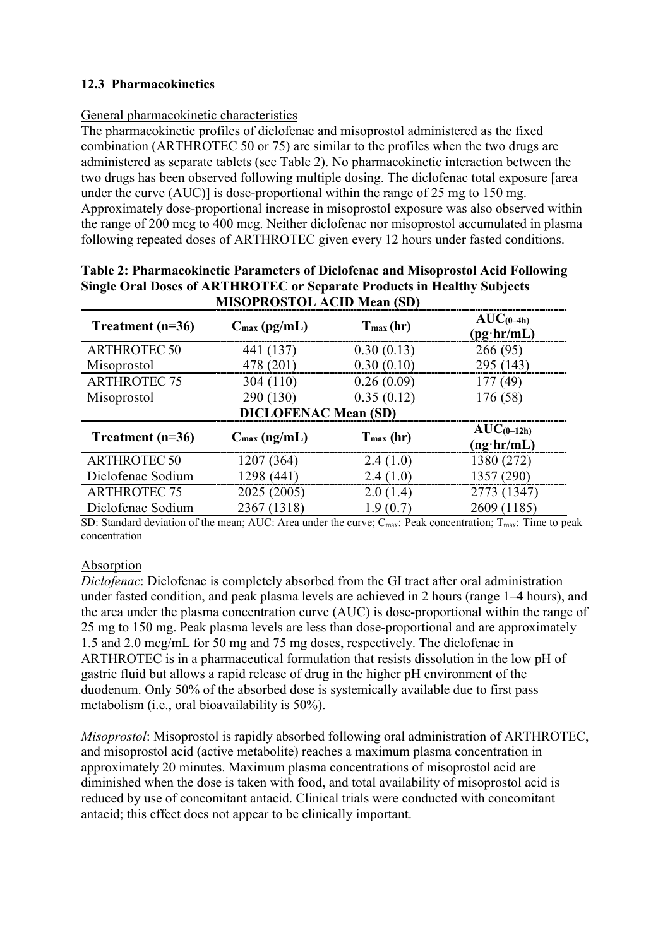## **12.3 Pharmacokinetics**

## General pharmacokinetic characteristics

The pharmacokinetic profiles of diclofenac and misoprostol administered as the fixed combination (ARTHROTEC 50 or 75) are similar to the profiles when the two drugs are administered as separate tablets (see Table 2). No pharmacokinetic interaction between the two drugs has been observed following multiple dosing. The diclofenac total exposure [area under the curve (AUC)] is dose-proportional within the range of 25 mg to 150 mg. Approximately dose-proportional increase in misoprostol exposure was also observed within the range of 200 mcg to 400 mcg. Neither diclofenac nor misoprostol accumulated in plasma following repeated doses of ARTHROTEC given every 12 hours under fasted conditions.

| <b>MISOPROSTOL ACID Mean (SD)</b> |                             |             |                                      |
|-----------------------------------|-----------------------------|-------------|--------------------------------------|
| Treatment $(n=36)$                | $C_{\text{max}}$ (pg/mL)    | $Tmax$ (hr) | $AUC_{(0-4h)}$<br>$(pg\cdot hr/mL)$  |
| <b>ARTHROTEC 50</b>               | 441 (137)                   | 0.30(0.13)  | 266 (95)                             |
| Misoprostol                       | 478 (201)                   | 0.30(0.10)  | 295 (143)                            |
| <b>ARTHROTEC 75</b>               | 304(110)                    | 0.26(0.09)  | 177(49)                              |
| Misoprostol                       | 290 (130)                   | 0.35(0.12)  | 176 (58)                             |
|                                   | <b>DICLOFENAC Mean (SD)</b> |             |                                      |
| Treatment $(n=36)$                | $C_{\text{max}}$ (ng/mL)    | $Tmax$ (hr) | $AUC_{(0-12h)}$<br>$(ng\cdot hr/mL)$ |
| <b>ARTHROTEC 50</b>               | 1207 (364)                  | 2.4(1.0)    | 1380 (272)                           |
| Diclofenac Sodium                 | 1298 (441)                  | 2.4(1.0)    | 1357 (290)                           |
| <b>ARTHROTEC 75</b>               | 2025 (2005)                 | 2.0(1.4)    | 2773 (1347)                          |
| Diclofenac Sodium                 | 2367 (1318)                 | 1.9(0.7)    | 2609 (1185)                          |

**Table 2: Pharmacokinetic Parameters of Diclofenac and Misoprostol Acid Following Single Oral Doses of ARTHROTEC or Separate Products in Healthy Subjects** 

SD: Standard deviation of the mean; AUC: Area under the curve; C<sub>max</sub>: Peak concentration; T<sub>max</sub>: Time to peak concentration

#### Absorption

*Diclofenac*: Diclofenac is completely absorbed from the GI tract after oral administration under fasted condition, and peak plasma levels are achieved in 2 hours (range 1–4 hours), and the area under the plasma concentration curve (AUC) is dose-proportional within the range of 25 mg to 150 mg. Peak plasma levels are less than dose-proportional and are approximately 1.5 and 2.0 mcg/mL for 50 mg and 75 mg doses, respectively. The diclofenac in ARTHROTEC is in a pharmaceutical formulation that resists dissolution in the low pH of gastric fluid but allows a rapid release of drug in the higher pH environment of the duodenum. Only 50% of the absorbed dose is systemically available due to first pass metabolism (i.e., oral bioavailability is 50%).

*Misoprostol*: Misoprostol is rapidly absorbed following oral administration of ARTHROTEC, and misoprostol acid (active metabolite) reaches a maximum plasma concentration in approximately 20 minutes. Maximum plasma concentrations of misoprostol acid are diminished when the dose is taken with food, and total availability of misoprostol acid is reduced by use of concomitant antacid. Clinical trials were conducted with concomitant antacid; this effect does not appear to be clinically important.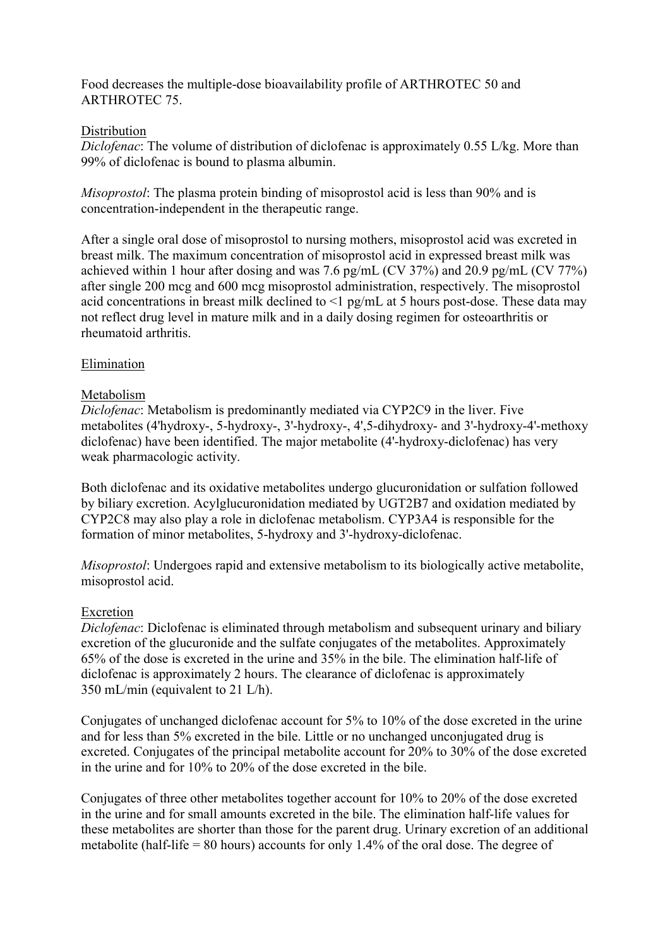Food decreases the multiple-dose bioavailability profile of ARTHROTEC 50 and ARTHROTEC 75.

#### **Distribution**

*Diclofenac*: The volume of distribution of diclofenac is approximately 0.55 L/kg. More than 99% of diclofenac is bound to plasma albumin.

*Misoprostol*: The plasma protein binding of misoprostol acid is less than 90% and is concentration-independent in the therapeutic range.

After a single oral dose of misoprostol to nursing mothers, misoprostol acid was excreted in breast milk. The maximum concentration of misoprostol acid in expressed breast milk was achieved within 1 hour after dosing and was 7.6 pg/mL (CV 37%) and 20.9 pg/mL (CV 77%) after single 200 mcg and 600 mcg misoprostol administration, respectively. The misoprostol acid concentrations in breast milk declined to <1 pg/mL at 5 hours post-dose. These data may not reflect drug level in mature milk and in a daily dosing regimen for osteoarthritis or rheumatoid arthritis.

## Elimination

#### Metabolism

*Diclofenac*: Metabolism is predominantly mediated via CYP2C9 in the liver. Five metabolites (4'hydroxy-, 5-hydroxy-, 3'-hydroxy-, 4',5-dihydroxy- and 3'-hydroxy-4'-methoxy diclofenac) have been identified. The major metabolite (4'-hydroxy-diclofenac) has very weak pharmacologic activity.

Both diclofenac and its oxidative metabolites undergo glucuronidation or sulfation followed by biliary excretion. Acylglucuronidation mediated by UGT2B7 and oxidation mediated by CYP2C8 may also play a role in diclofenac metabolism. CYP3A4 is responsible for the formation of minor metabolites, 5-hydroxy and 3'-hydroxy-diclofenac.

*Misoprostol*: Undergoes rapid and extensive metabolism to its biologically active metabolite, misoprostol acid.

#### Excretion

*Diclofenac*: Diclofenac is eliminated through metabolism and subsequent urinary and biliary excretion of the glucuronide and the sulfate conjugates of the metabolites. Approximately 65% of the dose is excreted in the urine and 35% in the bile. The elimination half-life of diclofenac is approximately 2 hours. The clearance of diclofenac is approximately 350 mL/min (equivalent to 21 L/h).

Conjugates of unchanged diclofenac account for 5% to 10% of the dose excreted in the urine and for less than 5% excreted in the bile. Little or no unchanged unconjugated drug is excreted. Conjugates of the principal metabolite account for 20% to 30% of the dose excreted in the urine and for 10% to 20% of the dose excreted in the bile.

Conjugates of three other metabolites together account for 10% to 20% of the dose excreted in the urine and for small amounts excreted in the bile. The elimination half-life values for these metabolites are shorter than those for the parent drug. Urinary excretion of an additional metabolite (half-life  $= 80$  hours) accounts for only 1.4% of the oral dose. The degree of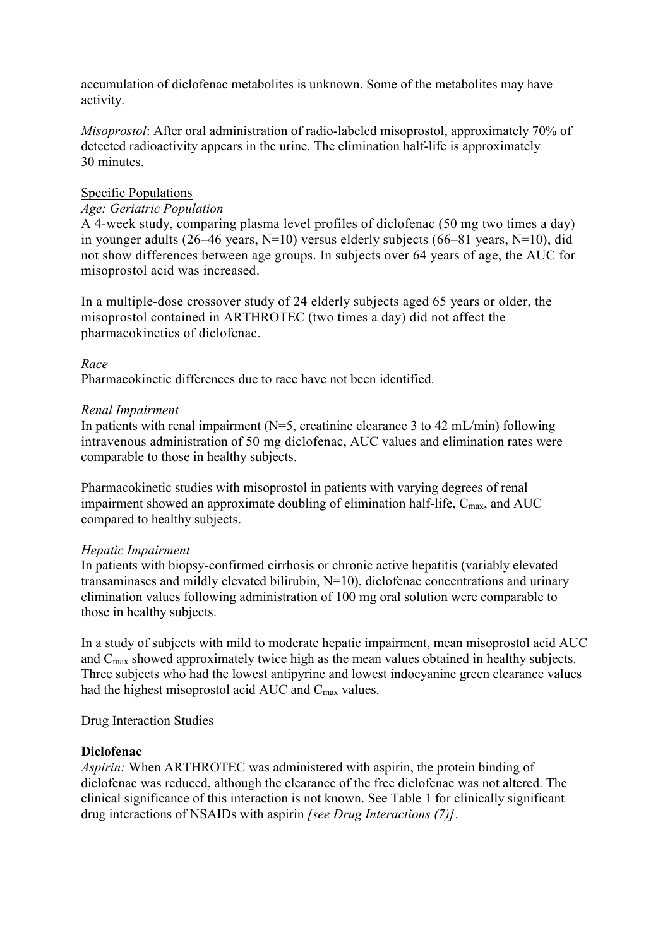accumulation of diclofenac metabolites is unknown. Some of the metabolites may have activity.

*Misoprostol*: After oral administration of radio-labeled misoprostol, approximately 70% of detected radioactivity appears in the urine. The elimination half-life is approximately 30 minutes.

#### Specific Populations

#### *Age: Geriatric Population*

A 4-week study, comparing plasma level profiles of diclofenac (50 mg two times a day) in younger adults (26–46 years,  $N=10$ ) versus elderly subjects (66–81 years,  $N=10$ ), did not show differences between age groups. In subjects over 64 years of age, the AUC for misoprostol acid was increased.

In a multiple-dose crossover study of 24 elderly subjects aged 65 years or older, the misoprostol contained in ARTHROTEC (two times a day) did not affect the pharmacokinetics of diclofenac.

#### *Race*

Pharmacokinetic differences due to race have not been identified.

#### *Renal Impairment*

In patients with renal impairment ( $N=5$ , creatinine clearance 3 to 42 mL/min) following intravenous administration of 50 mg diclofenac, AUC values and elimination rates were comparable to those in healthy subjects.

Pharmacokinetic studies with misoprostol in patients with varying degrees of renal impairment showed an approximate doubling of elimination half-life,  $C_{\text{max}}$ , and  $AUC$ compared to healthy subjects.

#### *Hepatic Impairment*

In patients with biopsy-confirmed cirrhosis or chronic active hepatitis (variably elevated transaminases and mildly elevated bilirubin, N=10), diclofenac concentrations and urinary elimination values following administration of 100 mg oral solution were comparable to those in healthy subjects.

In a study of subjects with mild to moderate hepatic impairment, mean misoprostol acid AUC and Cmax showed approximately twice high as the mean values obtained in healthy subjects. Three subjects who had the lowest antipyrine and lowest indocyanine green clearance values had the highest misoprostol acid AUC and  $C_{\text{max}}$  values.

#### Drug Interaction Studies

#### **Diclofenac**

*Aspirin:* When ARTHROTEC was administered with aspirin, the protein binding of diclofenac was reduced, although the clearance of the free diclofenac was not altered. The clinical significance of this interaction is not known. See Table 1 for clinically significant drug interactions of NSAIDs with aspirin *[see Drug Interactions (7)]*.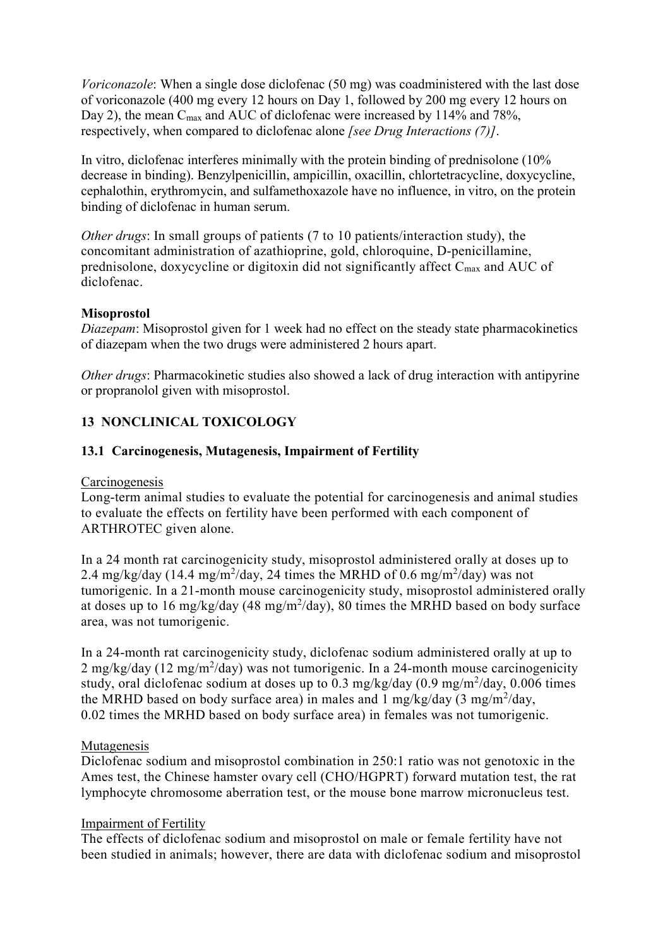*Voriconazole*: When a single dose diclofenac (50 mg) was coadministered with the last dose of voriconazole (400 mg every 12 hours on Day 1, followed by 200 mg every 12 hours on Day 2), the mean C<sub>max</sub> and AUC of diclofenac were increased by 114% and 78%, respectively, when compared to diclofenac alone *[see Drug Interactions (7)]*.

In vitro, diclofenac interferes minimally with the protein binding of prednisolone (10% decrease in binding). Benzylpenicillin, ampicillin, oxacillin, chlortetracycline, doxycycline, cephalothin, erythromycin, and sulfamethoxazole have no influence, in vitro, on the protein binding of diclofenac in human serum.

*Other drugs*: In small groups of patients (7 to 10 patients/interaction study), the concomitant administration of azathioprine, gold, chloroquine, D-penicillamine, prednisolone, doxycycline or digitoxin did not significantly affect C<sub>max</sub> and AUC of diclofenac.

#### **Misoprostol**

*Diazepam*: Misoprostol given for 1 week had no effect on the steady state pharmacokinetics of diazepam when the two drugs were administered 2 hours apart.

*Other drugs*: Pharmacokinetic studies also showed a lack of drug interaction with antipyrine or propranolol given with misoprostol.

## **13 NONCLINICAL TOXICOLOGY**

#### **13.1 Carcinogenesis, Mutagenesis, Impairment of Fertility**

#### Carcinogenesis

Long-term animal studies to evaluate the potential for carcinogenesis and animal studies to evaluate the effects on fertility have been performed with each component of ARTHROTEC given alone.

In a 24 month rat carcinogenicity study, misoprostol administered orally at doses up to 2.4 mg/kg/day (14.4 mg/m<sup>2</sup>/day, 24 times the MRHD of 0.6 mg/m<sup>2</sup>/day) was not tumorigenic. In a 21-month mouse carcinogenicity study, misoprostol administered orally at doses up to 16 mg/kg/day (48 mg/m<sup>2</sup>/day), 80 times the MRHD based on body surface area, was not tumorigenic.

In a 24-month rat carcinogenicity study, diclofenac sodium administered orally at up to  $2 \text{ mg/kg/day}$  (12 mg/m<sup>2</sup>/day) was not tumorigenic. In a 24-month mouse carcinogenicity study, oral diclofenac sodium at doses up to 0.3 mg/kg/day (0.9 mg/m $^2$ /day, 0.006 times the MRHD based on body surface area) in males and 1 mg/kg/day  $(3 \text{ mg/m}^2/\text{day})$ , 0.02 times the MRHD based on body surface area) in females was not tumorigenic.

#### Mutagenesis

Diclofenac sodium and misoprostol combination in 250:1 ratio was not genotoxic in the Ames test, the Chinese hamster ovary cell (CHO/HGPRT) forward mutation test, the rat lymphocyte chromosome aberration test, or the mouse bone marrow micronucleus test.

#### Impairment of Fertility

The effects of diclofenac sodium and misoprostol on male or female fertility have not been studied in animals; however, there are data with diclofenac sodium and misoprostol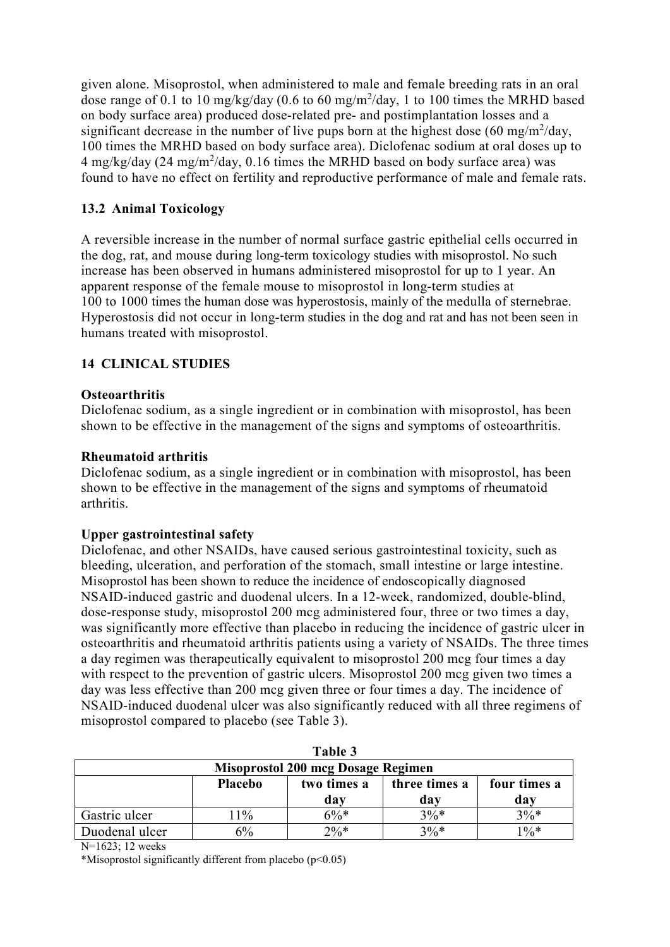given alone. Misoprostol, when administered to male and female breeding rats in an oral dose range of 0.1 to 10 mg/kg/day (0.6 to 60 mg/m<sup>2</sup>/day, 1 to 100 times the MRHD based on body surface area) produced dose-related pre- and postimplantation losses and a significant decrease in the number of live pups born at the highest dose  $(60 \text{ mg/m}^2/\text{day})$ , 100 times the MRHD based on body surface area). Diclofenac sodium at oral doses up to  $4 \text{ mg/kg/day}$  (24 mg/m<sup>2</sup>/day, 0.16 times the MRHD based on body surface area) was found to have no effect on fertility and reproductive performance of male and female rats.

## **13.2 Animal Toxicology**

A reversible increase in the number of normal surface gastric epithelial cells occurred in the dog, rat, and mouse during long-term toxicology studies with misoprostol. No such increase has been observed in humans administered misoprostol for up to 1 year. An apparent response of the female mouse to misoprostol in long-term studies at 100 to 1000 times the human dose was hyperostosis, mainly of the medulla of sternebrae. Hyperostosis did not occur in long-term studies in the dog and rat and has not been seen in humans treated with misoprostol.

## **14 CLINICAL STUDIES**

#### **Osteoarthritis**

Diclofenac sodium, as a single ingredient or in combination with misoprostol, has been shown to be effective in the management of the signs and symptoms of osteoarthritis.

#### **Rheumatoid arthritis**

Diclofenac sodium, as a single ingredient or in combination with misoprostol, has been shown to be effective in the management of the signs and symptoms of rheumatoid arthritis.

#### **Upper gastrointestinal safety**

Diclofenac, and other NSAIDs, have caused serious gastrointestinal toxicity, such as bleeding, ulceration, and perforation of the stomach, small intestine or large intestine. Misoprostol has been shown to reduce the incidence of endoscopically diagnosed NSAID-induced gastric and duodenal ulcers. In a 12-week, randomized, double-blind, dose-response study, misoprostol 200 mcg administered four, three or two times a day, was significantly more effective than placebo in reducing the incidence of gastric ulcer in osteoarthritis and rheumatoid arthritis patients using a variety of NSAIDs. The three times a day regimen was therapeutically equivalent to misoprostol 200 mcg four times a day with respect to the prevention of gastric ulcers. Misoprostol 200 mcg given two times a day was less effective than 200 mcg given three or four times a day. The incidence of NSAID-induced duodenal ulcer was also significantly reduced with all three regimens of misoprostol compared to placebo (see Table 3).

| Table 3                                   |         |                    |                      |                     |
|-------------------------------------------|---------|--------------------|----------------------|---------------------|
| <b>Misoprostol 200 mcg Dosage Regimen</b> |         |                    |                      |                     |
|                                           | Placebo | two times a<br>day | three times a<br>dav | four times a<br>dav |
| Gastric ulcer                             | 11%     | $6\%*$             | $3\%*$               | $3\%*$              |
| Duodenal ulcer                            | 6%      | $2\%*$             | $3\%*$               | $1\%*$              |

N=1623; 12 weeks

\*Misoprostol significantly different from placebo (p<0.05)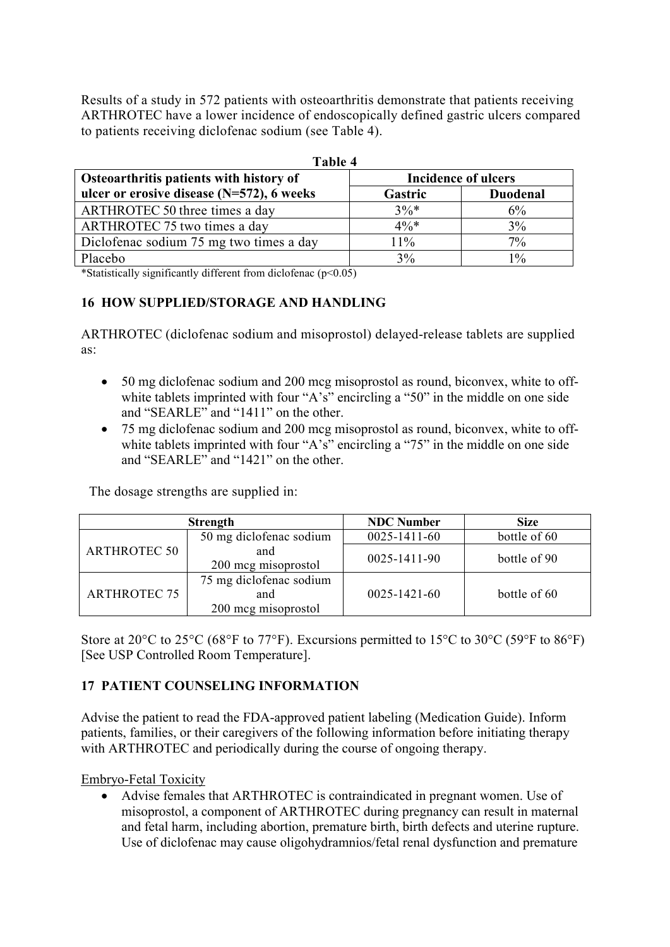Results of a study in 572 patients with osteoarthritis demonstrate that patients receiving ARTHROTEC have a lower incidence of endoscopically defined gastric ulcers compared to patients receiving diclofenac sodium (see Table 4).

| Table 4                                                               |         |                 |  |
|-----------------------------------------------------------------------|---------|-----------------|--|
| Osteoarthritis patients with history of<br><b>Incidence of ulcers</b> |         |                 |  |
| ulcer or erosive disease $(N=572)$ , 6 weeks                          | Gastric | <b>Duodenal</b> |  |
| ARTHROTEC 50 three times a day                                        | $3\%*$  | 6%              |  |
| ARTHROTEC 75 two times a day                                          | $4\%*$  | 3%              |  |
| Diclofenac sodium 75 mg two times a day                               | $11\%$  | $7\%$           |  |
| Placebo                                                               | 3%      | $1\%$           |  |

\*Statistically significantly different from diclofenac  $(p<0.05)$ 

## **16 HOW SUPPLIED/STORAGE AND HANDLING**

ARTHROTEC (diclofenac sodium and misoprostol) delayed-release tablets are supplied as:

- 50 mg diclofenac sodium and 200 mcg misoprostol as round, biconvex, white to offwhite tablets imprinted with four "A's" encircling a "50" in the middle on one side and "SEARLE" and "1411" on the other.
- 75 mg diclofenac sodium and 200 mcg misoprostol as round, biconvex, white to offwhite tablets imprinted with four "A's" encircling a "75" in the middle on one side and "SEARLE" and "1421" on the other.

The dosage strengths are supplied in:

| <b>Strength</b>     |                                                       | <b>NDC Number</b>  | <b>Size</b>  |
|---------------------|-------------------------------------------------------|--------------------|--------------|
| <b>ARTHROTEC 50</b> | 50 mg diclofenac sodium                               | 0025-1411-60       | bottle of 60 |
|                     | and<br>200 mcg misoprostol                            | 0025-1411-90       | bottle of 90 |
| <b>ARTHROTEC 75</b> | 75 mg diclofenac sodium<br>and<br>200 mcg misoprostol | $0025 - 1421 - 60$ | bottle of 60 |

Store at 20 $^{\circ}$ C to 25 $^{\circ}$ C (68 $^{\circ}$ F to 77 $^{\circ}$ F). Excursions permitted to 15 $^{\circ}$ C to 30 $^{\circ}$ C (59 $^{\circ}$ F to 86 $^{\circ}$ F) [See USP Controlled Room Temperature].

# **17 PATIENT COUNSELING INFORMATION**

Advise the patient to read the FDA-approved patient labeling (Medication Guide). Inform patients, families, or their caregivers of the following information before initiating therapy with ARTHROTEC and periodically during the course of ongoing therapy.

Embryo-Fetal Toxicity

 Advise females that ARTHROTEC is contraindicated in pregnant women. Use of misoprostol, a component of ARTHROTEC during pregnancy can result in maternal and fetal harm, including abortion, premature birth, birth defects and uterine rupture. Use of diclofenac may cause oligohydramnios/fetal renal dysfunction and premature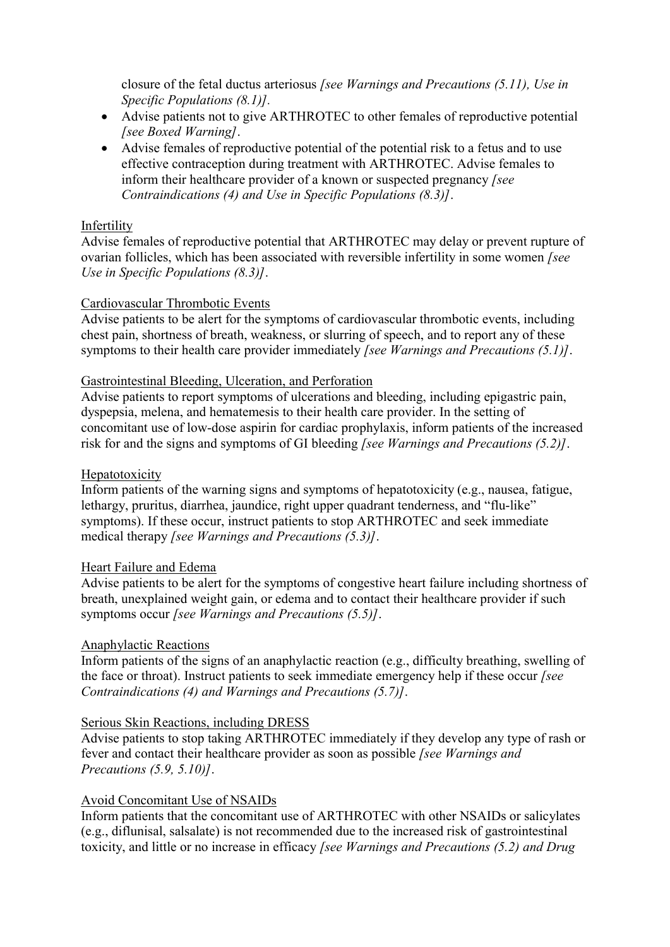closure of the fetal ductus arteriosus *[see Warnings and Precautions (5.11), Use in Specific Populations (8.1)].*

- Advise patients not to give ARTHROTEC to other females of reproductive potential *[see Boxed Warning]*.
- Advise females of reproductive potential of the potential risk to a fetus and to use effective contraception during treatment with ARTHROTEC. Advise females to inform their healthcare provider of a known or suspected pregnancy *[see Contraindications (4) and Use in Specific Populations (8.3)]*.

#### Infertility

Advise females of reproductive potential that ARTHROTEC may delay or prevent rupture of ovarian follicles, which has been associated with reversible infertility in some women *[see Use in Specific Populations (8.3)]*.

#### Cardiovascular Thrombotic Events

Advise patients to be alert for the symptoms of cardiovascular thrombotic events, including chest pain, shortness of breath, weakness, or slurring of speech, and to report any of these symptoms to their health care provider immediately *[see Warnings and Precautions (5.1)]*.

#### Gastrointestinal Bleeding, Ulceration, and Perforation

Advise patients to report symptoms of ulcerations and bleeding, including epigastric pain, dyspepsia, melena, and hematemesis to their health care provider. In the setting of concomitant use of low-dose aspirin for cardiac prophylaxis, inform patients of the increased risk for and the signs and symptoms of GI bleeding *[see Warnings and Precautions (5.2)]*.

#### Hepatotoxicity

Inform patients of the warning signs and symptoms of hepatotoxicity (e.g., nausea, fatigue, lethargy, pruritus, diarrhea, jaundice, right upper quadrant tenderness, and "flu-like" symptoms). If these occur, instruct patients to stop ARTHROTEC and seek immediate medical therapy *[see Warnings and Precautions (5.3)]*.

#### Heart Failure and Edema

Advise patients to be alert for the symptoms of congestive heart failure including shortness of breath, unexplained weight gain, or edema and to contact their healthcare provider if such symptoms occur *[see Warnings and Precautions (5.5)]*.

#### Anaphylactic Reactions

Inform patients of the signs of an anaphylactic reaction (e.g., difficulty breathing, swelling of the face or throat). Instruct patients to seek immediate emergency help if these occur *[see Contraindications (4) and Warnings and Precautions (5.7)]*.

#### Serious Skin Reactions, including DRESS

Advise patients to stop taking ARTHROTEC immediately if they develop any type of rash or fever and contact their healthcare provider as soon as possible *[see Warnings and Precautions (5.9, 5.10)]*.

#### Avoid Concomitant Use of NSAIDs

Inform patients that the concomitant use of ARTHROTEC with other NSAIDs or salicylates (e.g., diflunisal, salsalate) is not recommended due to the increased risk of gastrointestinal toxicity, and little or no increase in efficacy *[see Warnings and Precautions (5.2) and Drug*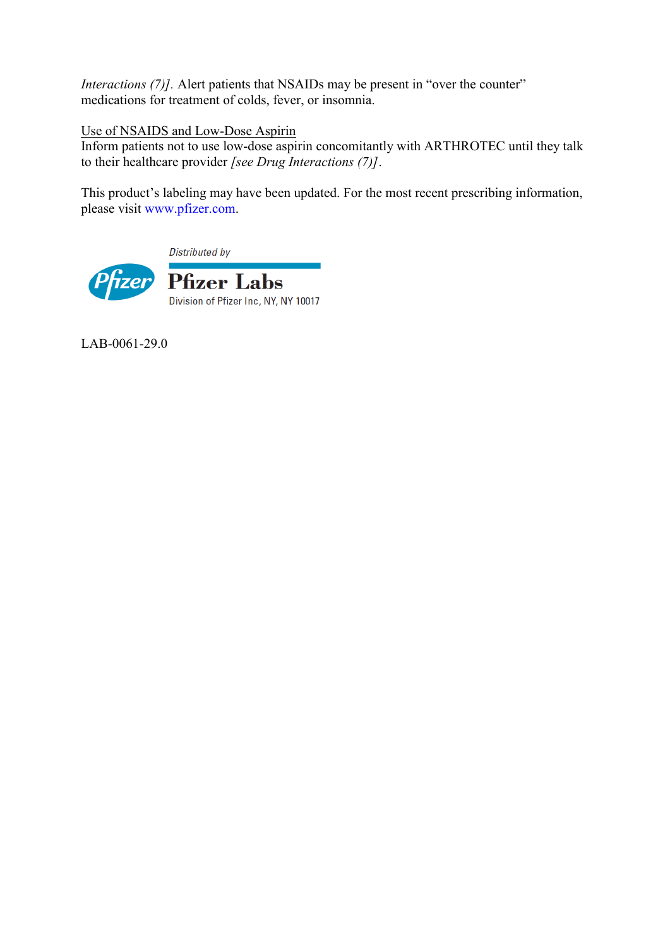*Interactions (7)].* Alert patients that NSAIDs may be present in "over the counter" medications for treatment of colds, fever, or insomnia.

Use of NSAIDS and Low-Dose Aspirin

Inform patients not to use low-dose aspirin concomitantly with ARTHROTEC until they talk to their healthcare provider *[see Drug Interactions (7)]*.

This product's labeling may have been updated. For the most recent prescribing information, please visit [www.pfizer.com](http://www.pfizer.com/).

Distributed by



LAB-0061-29.0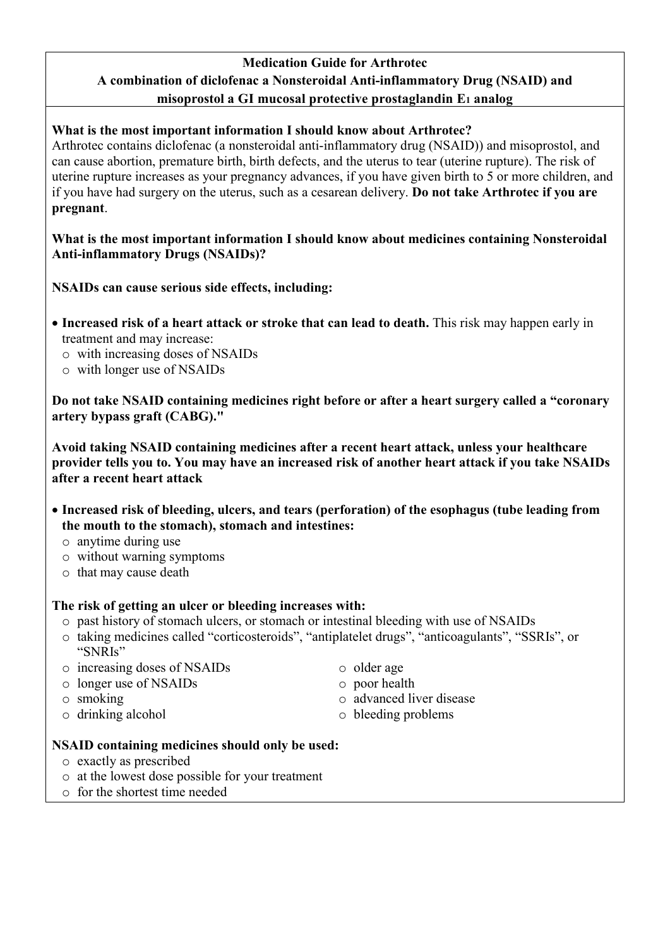# **Medication Guide for Arthrotec A combination of diclofenac a Nonsteroidal Anti-inflammatory Drug (NSAID) and misoprostol a GI mucosal protective prostaglandin E<sup>1</sup> analog**

## **What is the most important information I should know about Arthrotec?**

Arthrotec contains diclofenac (a nonsteroidal anti-inflammatory drug (NSAID)) and misoprostol, and can cause abortion, premature birth, birth defects, and the uterus to tear (uterine rupture). The risk of uterine rupture increases as your pregnancy advances, if you have given birth to 5 or more children, and if you have had surgery on the uterus, such as a cesarean delivery. **Do not take Arthrotec if you are pregnant**.

## **What is the most important information I should know about medicines containing Nonsteroidal Anti-inflammatory Drugs (NSAIDs)?**

**NSAIDs can cause serious side effects, including:**

- **Increased risk of a heart attack or stroke that can lead to death.** This risk may happen early in treatment and may increase:
	- o with increasing doses of NSAIDs
	- o with longer use of NSAIDs

**Do not take NSAID containing medicines right before or after a heart surgery called a "coronary artery bypass graft (CABG)."**

**Avoid taking NSAID containing medicines after a recent heart attack, unless your healthcare provider tells you to. You may have an increased risk of another heart attack if you take NSAIDs after a recent heart attack**

- **Increased risk of bleeding, ulcers, and tears (perforation) of the esophagus (tube leading from the mouth to the stomach), stomach and intestines:**
	- o anytime during use
	- o without warning symptoms
	- o that may cause death

# **The risk of getting an ulcer or bleeding increases with:**

- o past history of stomach ulcers, or stomach or intestinal bleeding with use of NSAIDs
- o taking medicines called "corticosteroids", "antiplatelet drugs", "anticoagulants", "SSRIs", or "SNRIs"
- o increasing doses of NSAIDs
- o longer use of NSAIDs
- o smoking
- o drinking alcohol
- o older age
- o poor health
- o advanced liver disease
- o bleeding problems

## **NSAID containing medicines should only be used:**

- o exactly as prescribed
- o at the lowest dose possible for your treatment
- o for the shortest time needed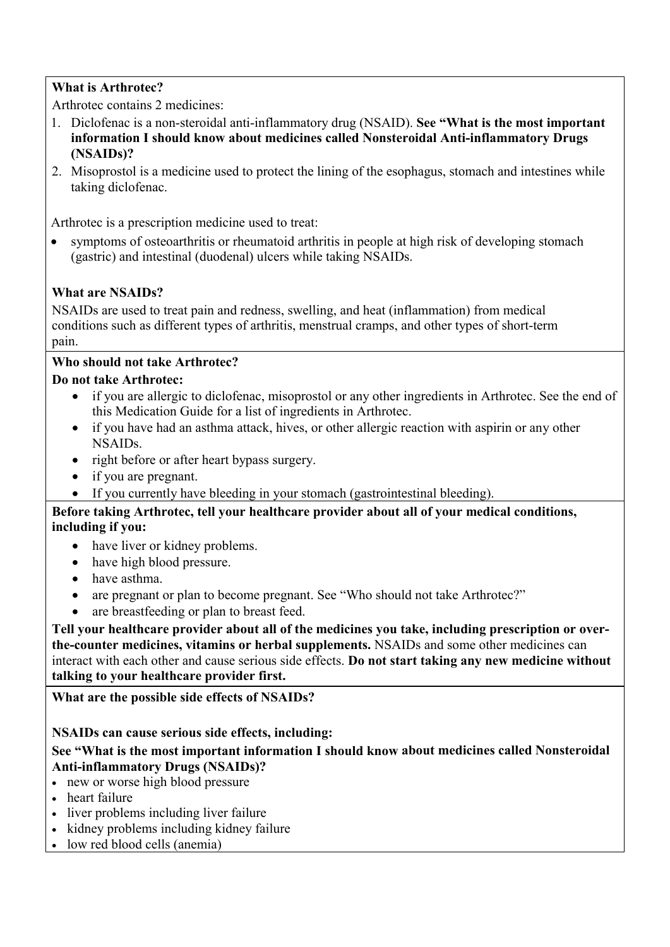# **What is Arthrotec?**

Arthrotec contains 2 medicines:

- 1. Diclofenac is a non-steroidal anti-inflammatory drug (NSAID). **See "What is the most important information I should know about medicines called Nonsteroidal Anti-inflammatory Drugs (NSAIDs)?**
- 2. Misoprostol is a medicine used to protect the lining of the esophagus, stomach and intestines while taking diclofenac.

Arthrotec is a prescription medicine used to treat:

 symptoms of osteoarthritis or rheumatoid arthritis in people at high risk of developing stomach (gastric) and intestinal (duodenal) ulcers while taking NSAIDs.

# **What are NSAIDs?**

NSAIDs are used to treat pain and redness, swelling, and heat (inflammation) from medical conditions such as different types of arthritis, menstrual cramps, and other types of short-term pain.

# **Who should not take Arthrotec?**

## **Do not take Arthrotec:**

- if you are allergic to diclofenac, misoprostol or any other ingredients in Arthrotec. See the end of this Medication Guide for a list of ingredients in Arthrotec.
- if you have had an asthma attack, hives, or other allergic reaction with aspirin or any other NSAIDs.
- right before or after heart bypass surgery.
- if you are pregnant.
- If you currently have bleeding in your stomach (gastrointestinal bleeding).

## **Before taking Arthrotec, tell your healthcare provider about all of your medical conditions, including if you:**

- have liver or kidney problems.
- have high blood pressure.
- have asthma.
- are pregnant or plan to become pregnant. See "Who should not take Arthrotec?"
- are breastfeeding or plan to breast feed.

**Tell your healthcare provider about all of the medicines you take, including prescription or overthe-counter medicines, vitamins or herbal supplements.** NSAIDs and some other medicines can interact with each other and cause serious side effects. **Do not start taking any new medicine without talking to your healthcare provider first.**

# **What are the possible side effects of NSAIDs?**

# **NSAIDs can cause serious side effects, including:**

**See "What is the most important information I should know about medicines called Nonsteroidal Anti-inflammatory Drugs (NSAIDs)?**

- new or worse high blood pressure
- heart failure
- liver problems including liver failure
- kidney problems including kidney failure
- low red blood cells (anemia)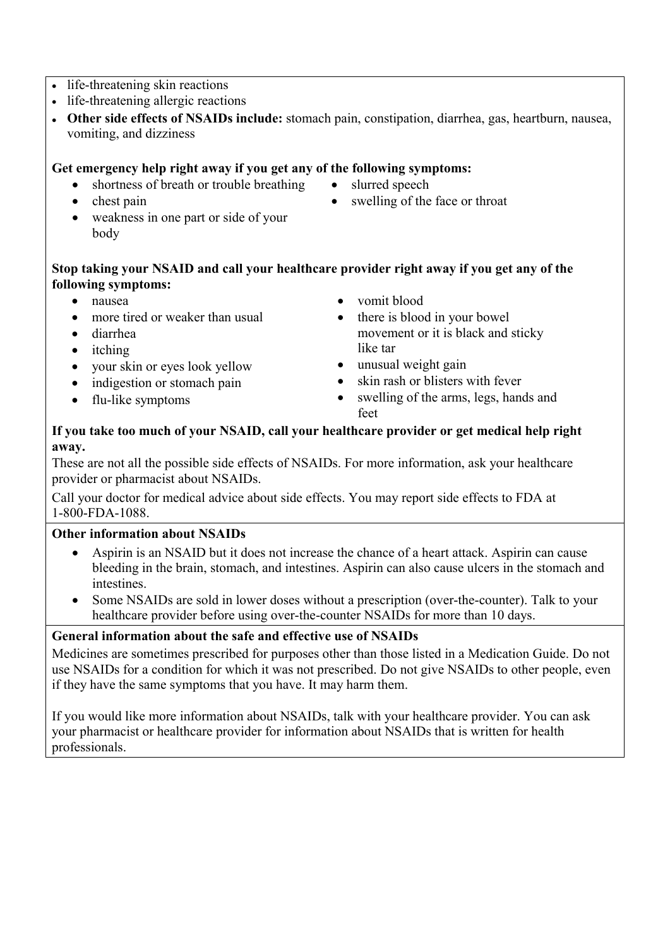- life-threatening skin reactions
- life-threatening allergic reactions
- **Other side effects of NSAIDs include:** stomach pain, constipation, diarrhea, gas, heartburn, nausea, vomiting, and dizziness

## **Get emergency help right away if you get any of the following symptoms:**

- shortness of breath or trouble breathing
- chest pain

• slurred speech

- 
- weakness in one part or side of your body
- swelling of the face or throat

## **Stop taking your NSAID and call your healthcare provider right away if you get any of the following symptoms:**

- nausea
- more tired or weaker than usual
- diarrhea
- itching
- your skin or eyes look yellow
- indigestion or stomach pain
- flu-like symptoms
- vomit blood
- there is blood in your bowel movement or it is black and sticky like tar
- unusual weight gain
- skin rash or blisters with fever
- swelling of the arms, legs, hands and feet

## **If you take too much of your NSAID, call your healthcare provider or get medical help right away.**

These are not all the possible side effects of NSAIDs. For more information, ask your healthcare provider or pharmacist about NSAIDs.

Call your doctor for medical advice about side effects. You may report side effects to FDA at 1-800-FDA-1088.

# **Other information about NSAIDs**

- Aspirin is an NSAID but it does not increase the chance of a heart attack. Aspirin can cause bleeding in the brain, stomach, and intestines. Aspirin can also cause ulcers in the stomach and intestines.
- Some NSAIDs are sold in lower doses without a prescription (over-the-counter). Talk to your healthcare provider before using over-the-counter NSAIDs for more than 10 days.

## **General information about the safe and effective use of NSAIDs**

Medicines are sometimes prescribed for purposes other than those listed in a Medication Guide. Do not use NSAIDs for a condition for which it was not prescribed. Do not give NSAIDs to other people, even if they have the same symptoms that you have. It may harm them.

If you would like more information about NSAIDs, talk with your healthcare provider. You can ask your pharmacist or healthcare provider for information about NSAIDs that is written for health professionals.